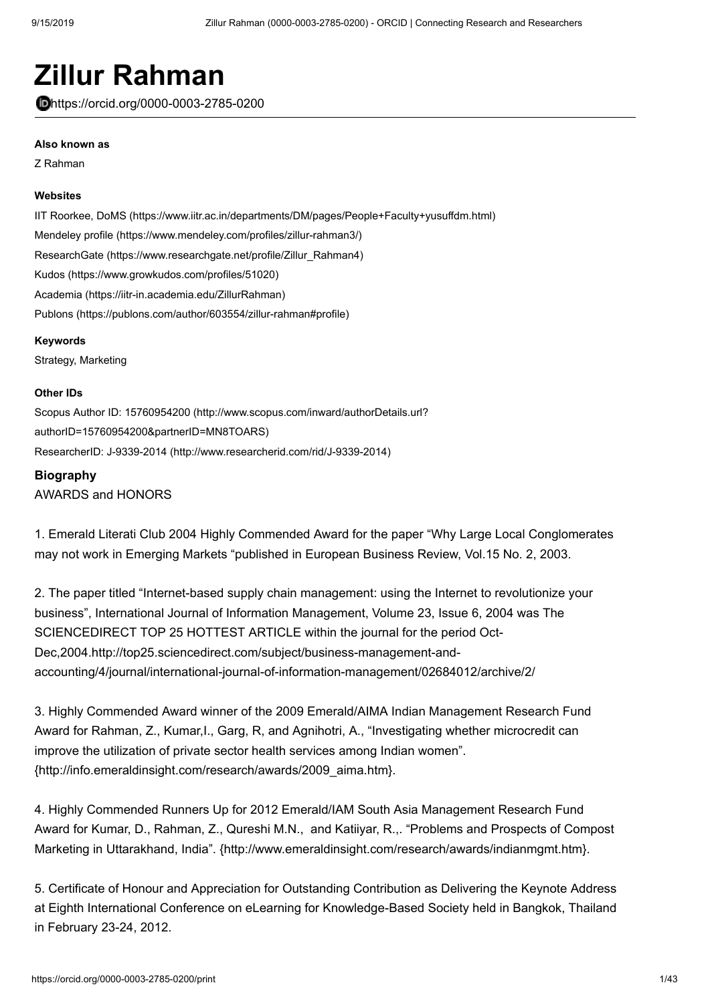# **Zillur Rahman**

https://orcid.org/0000-0003-2785-0200

#### **Also known as**

Z Rahman

#### **Websites**

[IIT Roorkee, DoMS \(https://www.iitr.ac.in/departments/DM/pages/People+Faculty+yusuffdm.html\)](https://www.iitr.ac.in/departments/DM/pages/People+Faculty+yusuffdm.html) [Mendeley profile \(https://www.mendeley.com/profiles/zillur-rahman3/\)](https://www.mendeley.com/profiles/zillur-rahman3/) [ResearchGate \(https://www.researchgate.net/profile/Zillur\\_Rahman4\)](https://www.researchgate.net/profile/Zillur_Rahman4) [Kudos \(https://www.growkudos.com/profiles/51020\)](https://www.growkudos.com/profiles/51020) [Academia \(https://iitr-in.academia.edu/ZillurRahman\)](https://iitr-in.academia.edu/ZillurRahman) [Publons \(https://publons.com/author/603554/zillur-rahman#profile\)](https://publons.com/author/603554/zillur-rahman#profile)

#### **Keywords**

Strategy, Marketing

#### **Other IDs**

[Scopus Author ID: 15760954200 \(http://www.scopus.com/inward/authorDetails.url?](http://www.scopus.com/inward/authorDetails.url?authorID=15760954200&partnerID=MN8TOARS) authorID=15760954200&partnerID=MN8TOARS) [ResearcherID: J-9339-2014 \(http://www.researcherid.com/rid/J-9339-2014\)](http://www.researcherid.com/rid/J-9339-2014)

#### **Biography**

AWARDS and HONORS

1. Emerald Literati Club 2004 Highly Commended Award for the paper "Why Large Local Conglomerates may not work in Emerging Markets "published in European Business Review, Vol.15 No. 2, 2003.

2. The paper titled "Internet-based supply chain management: using the Internet to revolutionize your business", International Journal of Information Management, Volume 23, Issue 6, 2004 was The SCIENCEDIRECT TOP 25 HOTTEST ARTICLE within the journal for the period Oct-Dec,2004.http://top25.sciencedirect.com/subject/business-management-andaccounting/4/journal/international-journal-of-information-management/02684012/archive/2/

3. Highly Commended Award winner of the 2009 Emerald/AIMA Indian Management Research Fund Award for Rahman, Z., Kumar,I., Garg, R, and Agnihotri, A., "Investigating whether microcredit can improve the utilization of private sector health services among Indian women". {http://info.emeraldinsight.com/research/awards/2009\_aima.htm}.

4. Highly Commended Runners Up for 2012 Emerald/IAM South Asia Management Research Fund Award for Kumar, D., Rahman, Z., Qureshi M.N., and Katiiyar, R.,. "Problems and Prospects of Compost Marketing in Uttarakhand, India". {http://www.emeraldinsight.com/research/awards/indianmgmt.htm}.

5. Certificate of Honour and Appreciation for Outstanding Contribution as Delivering the Keynote Address at Eighth International Conference on eLearning for Knowledge-Based Society held in Bangkok, Thailand in February 23-24, 2012.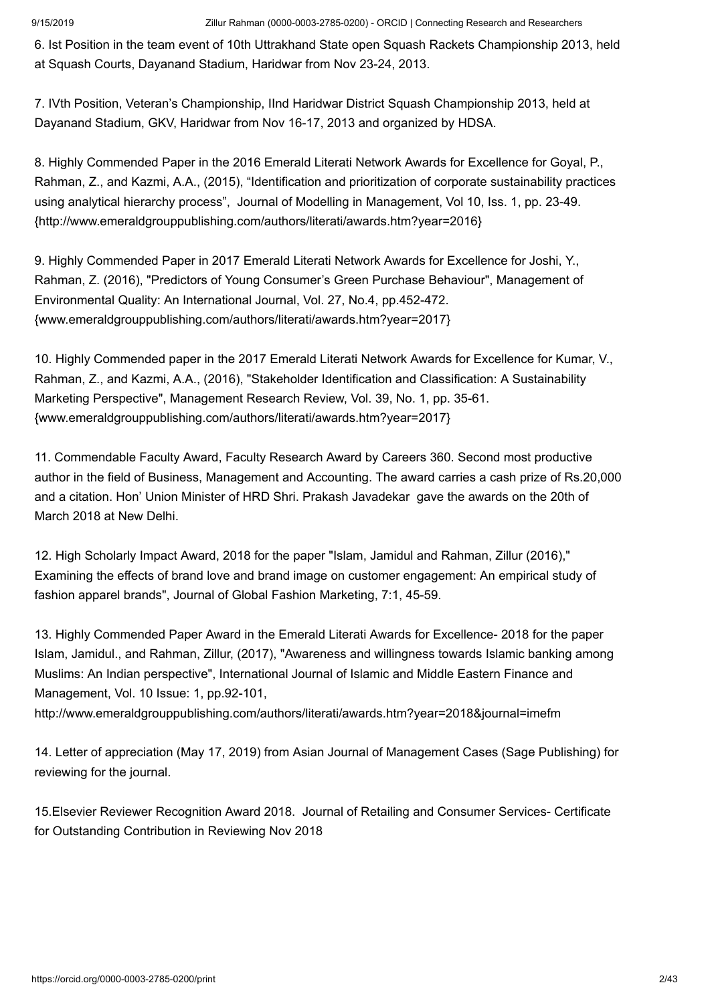6. Ist Position in the team event of 10th Uttrakhand State open Squash Rackets Championship 2013, held at Squash Courts, Dayanand Stadium, Haridwar from Nov 23-24, 2013.

7. IVth Position, Veteran's Championship, IInd Haridwar District Squash Championship 2013, held at Dayanand Stadium, GKV, Haridwar from Nov 16-17, 2013 and organized by HDSA.

8. Highly Commended Paper in the 2016 Emerald Literati Network Awards for Excellence for Goyal, P., Rahman, Z., and Kazmi, A.A., (2015), "Identification and prioritization of corporate sustainability practices using analytical hierarchy process", Journal of Modelling in Management, Vol 10, Iss. 1, pp. 23-49. {http://www.emeraldgrouppublishing.com/authors/literati/awards.htm?year=2016}

9. Highly Commended Paper in 2017 Emerald Literati Network Awards for Excellence for Joshi, Y., Rahman, Z. (2016), "Predictors of Young Consumer's Green Purchase Behaviour", Management of Environmental Quality: An International Journal, Vol. 27, No.4, pp.452-472. {www.emeraldgrouppublishing.com/authors/literati/awards.htm?year=2017}

10. Highly Commended paper in the 2017 Emerald Literati Network Awards for Excellence for Kumar, V., Rahman, Z., and Kazmi, A.A., (2016), "Stakeholder Identification and Classification: A Sustainability Marketing Perspective", Management Research Review, Vol. 39, No. 1, pp. 35-61. {www.emeraldgrouppublishing.com/authors/literati/awards.htm?year=2017}

11. Commendable Faculty Award, Faculty Research Award by Careers 360. Second most productive author in the field of Business, Management and Accounting. The award carries a cash prize of Rs.20,000 and a citation. Hon' Union Minister of HRD Shri. Prakash Javadekar gave the awards on the 20th of March 2018 at New Delhi.

12. High Scholarly Impact Award, 2018 for the paper "Islam, Jamidul and Rahman, Zillur (2016)," Examining the effects of brand love and brand image on customer engagement: An empirical study of fashion apparel brands", Journal of Global Fashion Marketing, 7:1, 45-59.

13. Highly Commended Paper Award in the Emerald Literati Awards for Excellence- 2018 for the paper Islam, Jamidul., and Rahman, Zillur, (2017), "Awareness and willingness towards Islamic banking among Muslims: An Indian perspective", International Journal of Islamic and Middle Eastern Finance and Management, Vol. 10 Issue: 1, pp.92-101,

http://www.emeraldgrouppublishing.com/authors/literati/awards.htm?year=2018&journal=imefm

14. Letter of appreciation (May 17, 2019) from Asian Journal of Management Cases (Sage Publishing) for reviewing for the journal.

15.Elsevier Reviewer Recognition Award 2018. Journal of Retailing and Consumer Services- Certificate for Outstanding Contribution in Reviewing Nov 2018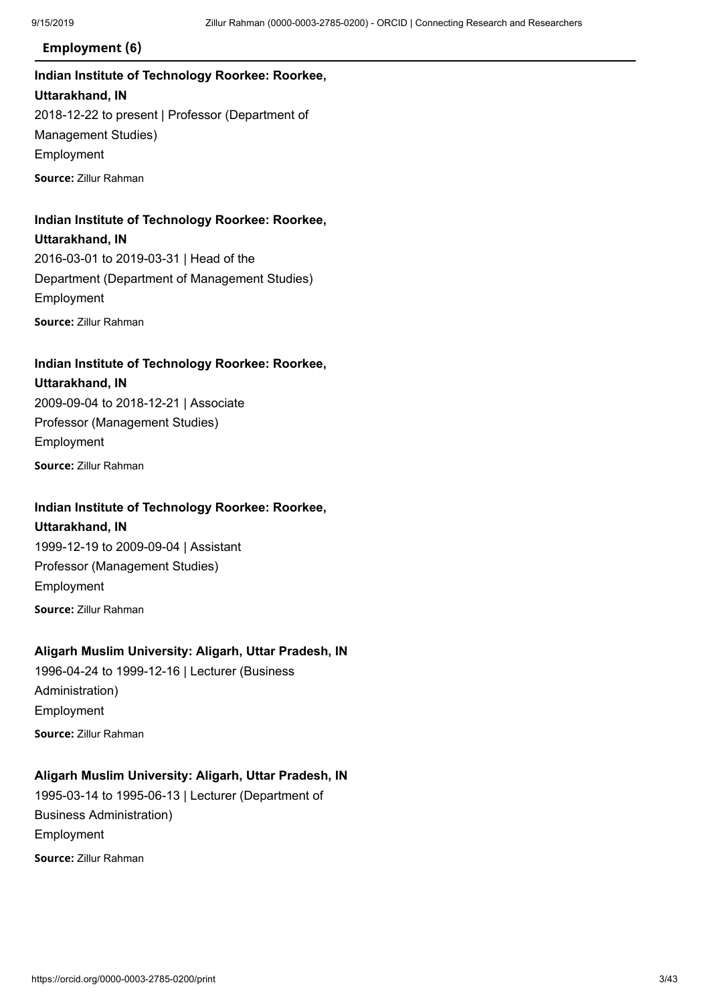### **Employment (6)**

## **Indian Institute of Technology Roorkee: Roorkee, Uttarakhand, IN** 2018-12-22 to present | Professor (Department of Management Studies) Employment **Source:** Zillur Rahman

## **Indian Institute of Technology Roorkee: Roorkee,**

### **Uttarakhand, IN**

2016-03-01 to 2019-03-31 | Head of the Department (Department of Management Studies) Employment

**Source:** Zillur Rahman

### **Indian Institute of Technology Roorkee: Roorkee, Uttarakhand, IN**

2009-09-04 to 2018-12-21 | Associate Professor (Management Studies) Employment **Source:** Zillur Rahman

### **Indian Institute of Technology Roorkee: Roorkee,**

## **Uttarakhand, IN** 1999-12-19 to 2009-09-04 | Assistant Professor (Management Studies) Employment **Source:** Zillur Rahman

### **Aligarh Muslim University: Aligarh, Uttar Pradesh, IN**

1996-04-24 to 1999-12-16 | Lecturer (Business Administration) Employment **Source:** Zillur Rahman

### **Aligarh Muslim University: Aligarh, Uttar Pradesh, IN**

1995-03-14 to 1995-06-13 | Lecturer (Department of Business Administration) Employment **Source:** Zillur Rahman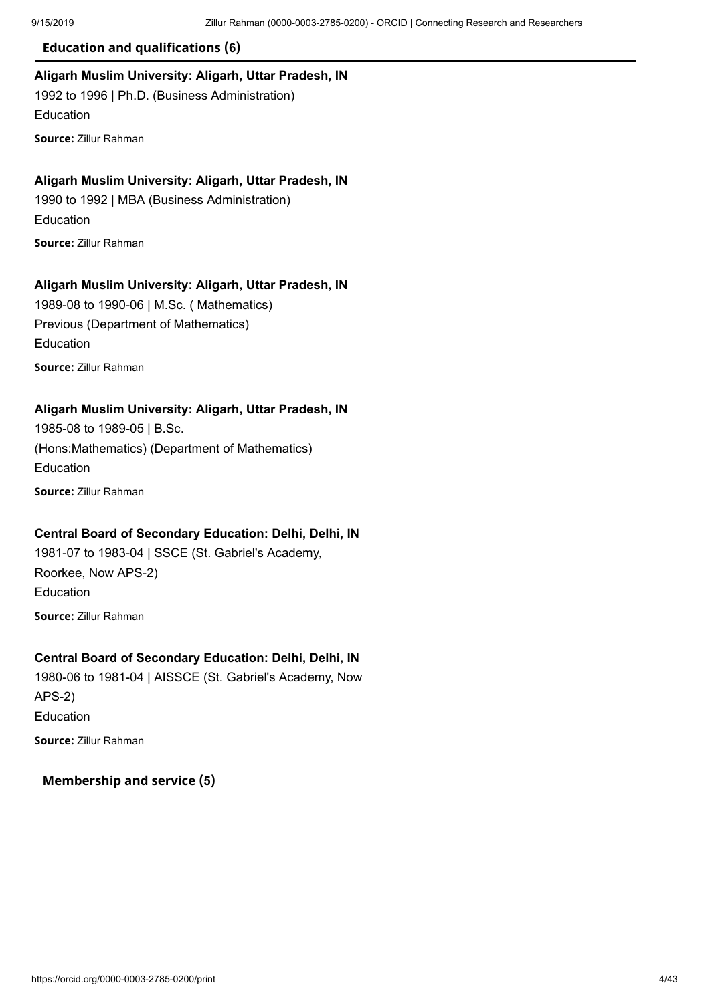### **Education and qualifications (6)**

### **Aligarh Muslim University: Aligarh, Uttar Pradesh, IN**

1992 to 1996 | Ph.D. (Business Administration) Education **Source:** Zillur Rahman

### **Aligarh Muslim University: Aligarh, Uttar Pradesh, IN**

1990 to 1992 | MBA (Business Administration) Education **Source:** Zillur Rahman

### **Aligarh Muslim University: Aligarh, Uttar Pradesh, IN**

1989-08 to 1990-06 | M.Sc. ( Mathematics) Previous (Department of Mathematics) Education **Source:** Zillur Rahman

### **Aligarh Muslim University: Aligarh, Uttar Pradesh, IN**

1985-08 to 1989-05 | B.Sc. (Hons:Mathematics) (Department of Mathematics) Education **Source:** Zillur Rahman

### **Central Board of Secondary Education: Delhi, Delhi, IN**

1981-07 to 1983-04 | SSCE (St. Gabriel's Academy, Roorkee, Now APS-2) Education **Source:** Zillur Rahman

### **Central Board of Secondary Education: Delhi, Delhi, IN**

1980-06 to 1981-04 | AISSCE (St. Gabriel's Academy, Now APS-2) Education **Source:** Zillur Rahman

### **Membership and service (5)**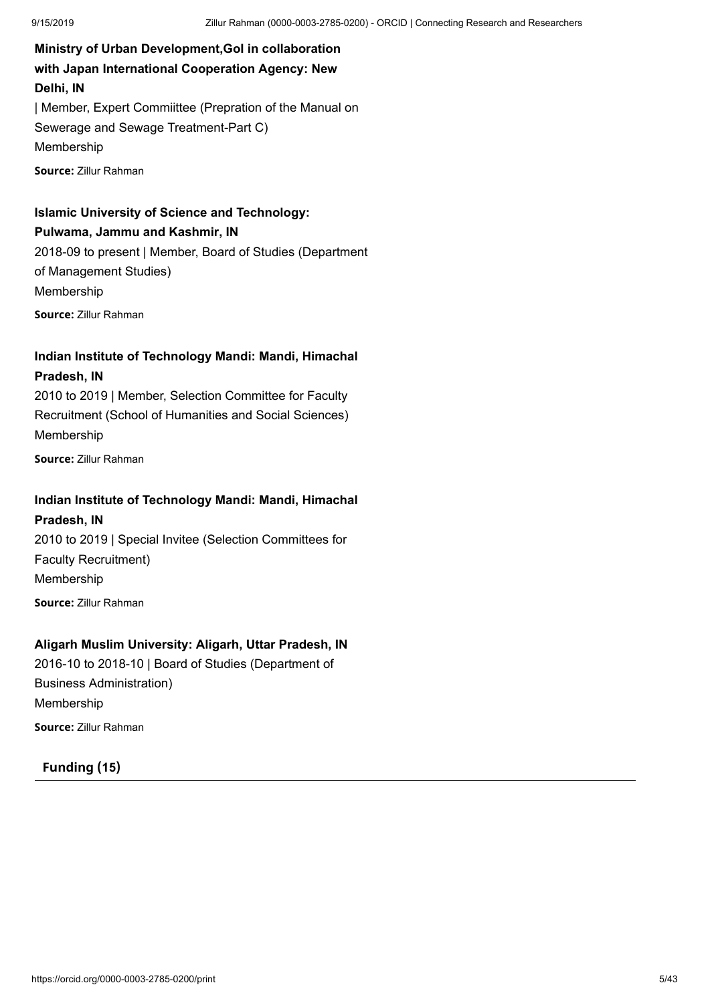**Ministry of Urban Development,GoI in collaboration with Japan International Cooperation Agency: New Delhi, IN** | Member, Expert Commiittee (Prepration of the Manual on Sewerage and Sewage Treatment-Part C) Membership **Source:** Zillur Rahman

### **Islamic University of Science and Technology: Pulwama, Jammu and Kashmir, IN**

2018-09 to present | Member, Board of Studies (Department of Management Studies) Membership **Source:** Zillur Rahman

### **Indian Institute of Technology Mandi: Mandi, Himachal Pradesh, IN**

2010 to 2019 | Member, Selection Committee for Faculty Recruitment (School of Humanities and Social Sciences) Membership

**Source:** Zillur Rahman

## **Indian Institute of Technology Mandi: Mandi, Himachal**

**Pradesh, IN** 2010 to 2019 | Special Invitee (Selection Committees for Faculty Recruitment) Membership **Source:** Zillur Rahman

### **Aligarh Muslim University: Aligarh, Uttar Pradesh, IN**

2016-10 to 2018-10 | Board of Studies (Department of Business Administration) Membership **Source:** Zillur Rahman

### **Funding (15)**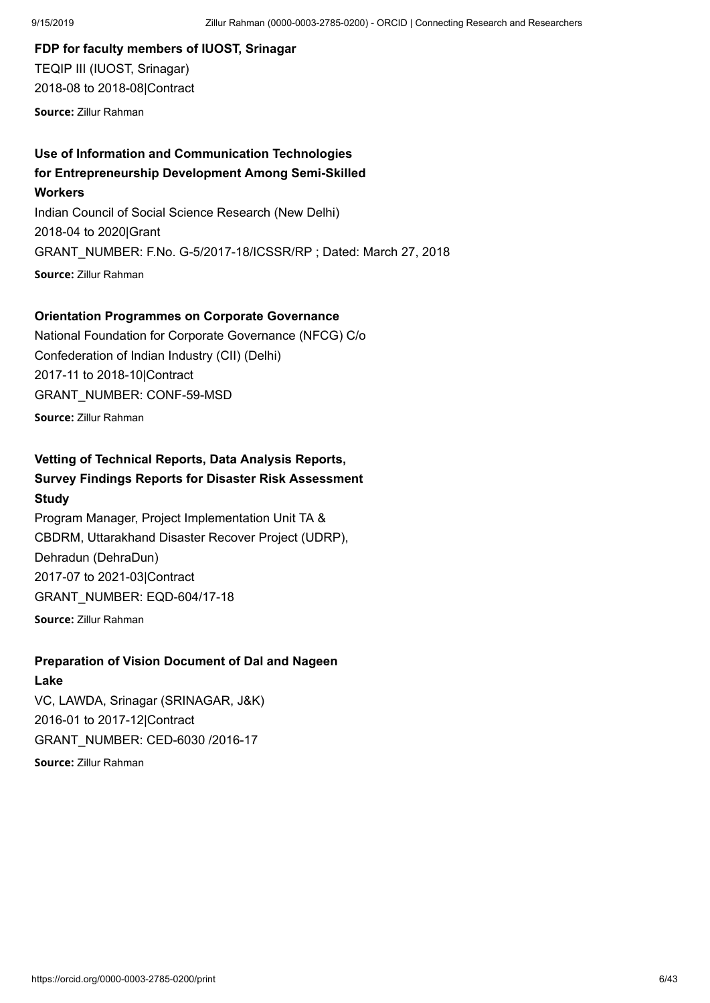**FDP for faculty members of IUOST, Srinagar** TEQIP III (IUOST, Srinagar) 2018-08 to 2018-08|Contract

**Source:** Zillur Rahman

## **Use of Information and Communication Technologies for Entrepreneurship Development Among Semi-Skilled**

**Workers**

Indian Council of Social Science Research (New Delhi) 2018-04 to 2020|Grant GRANT\_NUMBER: F.No. G-5/2017-18/ICSSR/RP ; Dated: March 27, 2018 **Source:** Zillur Rahman

### **Orientation Programmes on Corporate Governance**

National Foundation for Corporate Governance (NFCG) C/o Confederation of Indian Industry (CII) (Delhi) 2017-11 to 2018-10|Contract GRANT\_NUMBER: CONF-59-MSD **Source:** Zillur Rahman

### **Vetting of Technical Reports, Data Analysis Reports,**

### **Survey Findings Reports for Disaster Risk Assessment Study**

Program Manager, Project Implementation Unit TA & CBDRM, Uttarakhand Disaster Recover Project (UDRP), Dehradun (DehraDun) 2017-07 to 2021-03|Contract GRANT\_NUMBER: EQD-604/17-18

**Source:** Zillur Rahman

### **Preparation of Vision Document of Dal and Nageen**

### **Lake**

VC, LAWDA, Srinagar (SRINAGAR, J&K) 2016-01 to 2017-12|Contract GRANT\_NUMBER: CED-6030 /2016-17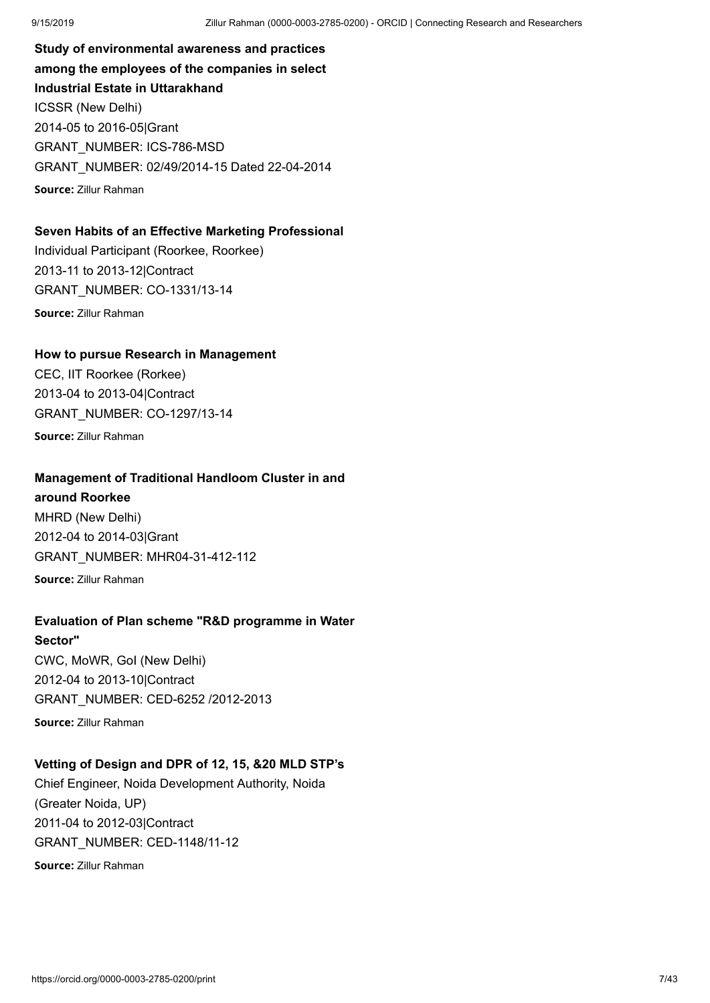**Study of environmental awareness and practices among the employees of the companies in select Industrial Estate in Uttarakhand** ICSSR (New Delhi) 2014-05 to 2016-05|Grant GRANT\_NUMBER: ICS-786-MSD GRANT\_NUMBER: 02/49/2014-15 Dated 22-04-2014 **Source:** Zillur Rahman

### **Seven Habits of an Effective Marketing Professional**

Individual Participant (Roorkee, Roorkee) 2013-11 to 2013-12|Contract GRANT\_NUMBER: CO-1331/13-14 **Source:** Zillur Rahman

### **How to pursue Research in Management**

CEC, IIT Roorkee (Rorkee) 2013-04 to 2013-04|Contract GRANT\_NUMBER: CO-1297/13-14 **Source:** Zillur Rahman

### **Management of Traditional Handloom Cluster in and**

**around Roorkee** MHRD (New Delhi) 2012-04 to 2014-03|Grant GRANT\_NUMBER: MHR04-31-412-112 **Source:** Zillur Rahman

### **Evaluation of Plan scheme "R&D programme in Water**

**Sector"** CWC, MoWR, GoI (New Delhi) 2012-04 to 2013-10|Contract GRANT\_NUMBER: CED-6252 /2012-2013 **Source:** Zillur Rahman

## **Vetting of Design and DPR of 12, 15, &20 MLD STP's**

Chief Engineer, Noida Development Authority, Noida (Greater Noida, UP) 2011-04 to 2012-03|Contract GRANT\_NUMBER: CED-1148/11-12 **Source:** Zillur Rahman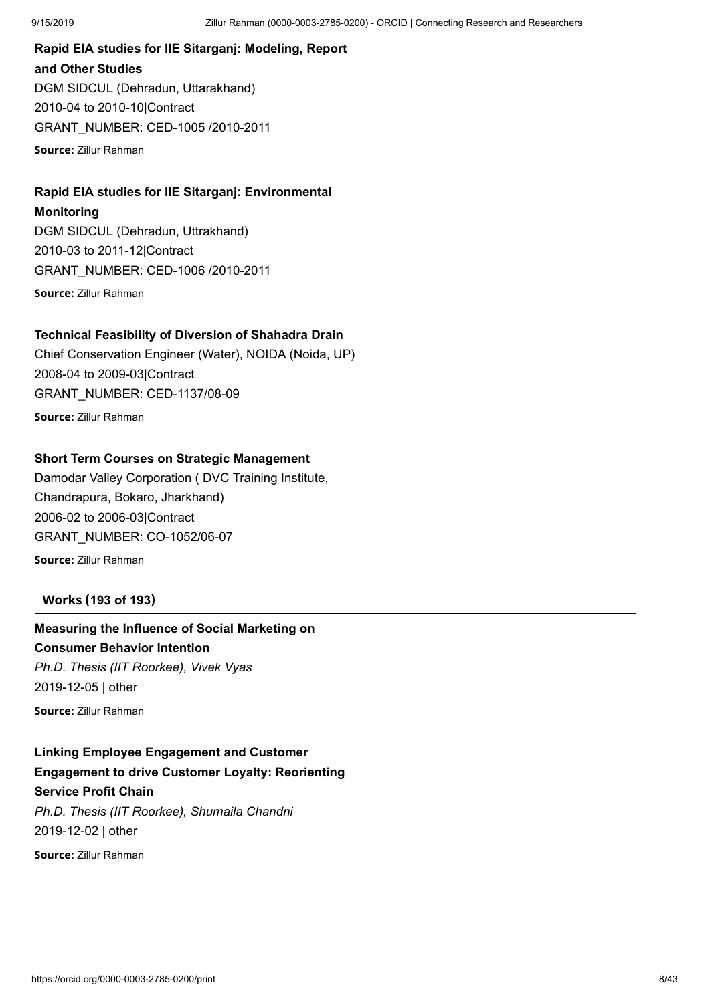## **Rapid EIA studies for IIE Sitarganj: Modeling, Report and Other Studies** DGM SIDCUL (Dehradun, Uttarakhand) 2010-04 to 2010-10|Contract GRANT\_NUMBER: CED-1005 /2010-2011

**Source:** Zillur Rahman

## **Rapid EIA studies for IIE Sitarganj: Environmental**

**Monitoring**

DGM SIDCUL (Dehradun, Uttrakhand) 2010-03 to 2011-12|Contract GRANT\_NUMBER: CED-1006 /2010-2011 **Source:** Zillur Rahman

### **Technical Feasibility of Diversion of Shahadra Drain**

Chief Conservation Engineer (Water), NOIDA (Noida, UP) 2008-04 to 2009-03|Contract GRANT\_NUMBER: CED-1137/08-09 **Source:** Zillur Rahman

### **Short Term Courses on Strategic Management**

Damodar Valley Corporation ( DVC Training Institute, Chandrapura, Bokaro, Jharkhand) 2006-02 to 2006-03|Contract GRANT\_NUMBER: CO-1052/06-07 **Source:** Zillur Rahman

### **Works (193 of 193)**

## **Measuring the Influence of Social Marketing on**

### **Consumer Behavior Intention**

*Ph.D. Thesis (IIT Roorkee), Vivek Vyas* 2019-12-05 | other

**Source:** Zillur Rahman

## **Linking Employee Engagement and Customer Engagement to drive Customer Loyalty: Reorienting Service Profit Chain**

*Ph.D. Thesis (IIT Roorkee), Shumaila Chandni* 2019-12-02 | other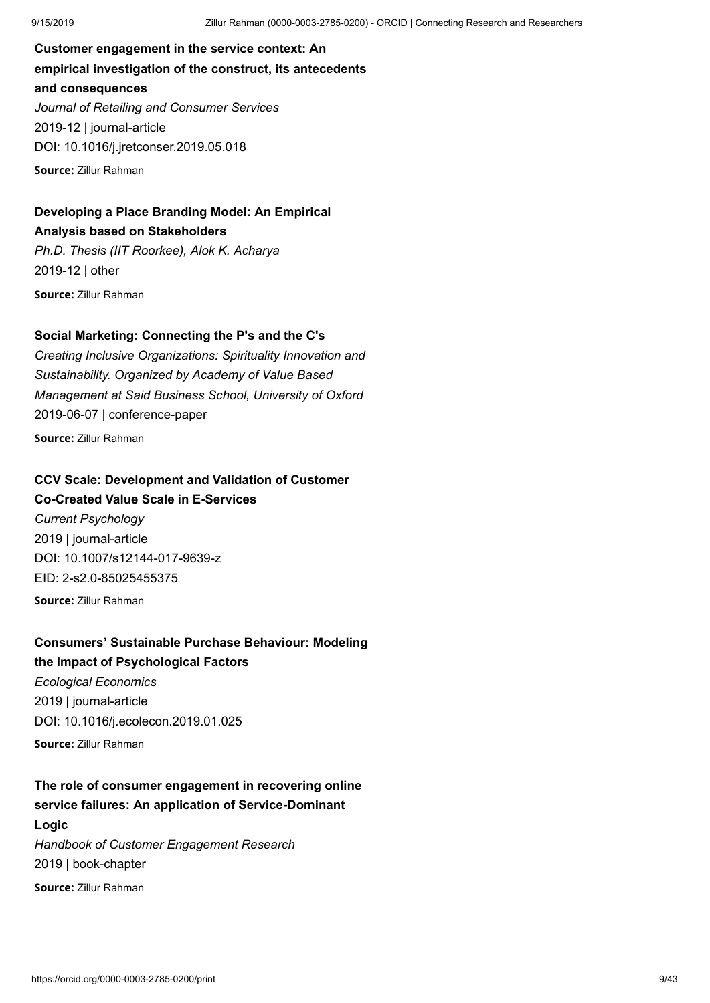**Customer engagement in the service context: An empirical investigation of the construct, its antecedents and consequences** *Journal of Retailing and Consumer Services* 2019-12 | journal-article DOI: [10.1016/j.jretconser.2019.05.018](https://doi.org/10.1016/j.jretconser.2019.05.018) **Source:** Zillur Rahman

## **Developing a Place Branding Model: An Empirical Analysis based on Stakeholders**

*Ph.D. Thesis (IIT Roorkee), Alok K. Acharya* 2019-12 | other **Source:** Zillur Rahman

### **Social Marketing: Connecting the P's and the C's**

*Creating Inclusive Organizations: Spirituality Innovation and Sustainability. Organized by Academy of Value Based Management at Said Business School, University of Oxford* 2019-06-07 | conference-paper

**Source:** Zillur Rahman

### **CCV Scale: Development and Validation of Customer**

**Co-Created Value Scale in E-Services**

*Current Psychology* 2019 | journal-article DOI: [10.1007/s12144-017-9639-z](https://doi.org/10.1007/s12144-017-9639-z) EID: 2-s2.0-85025455375 **Source:** Zillur Rahman

### **Consumers' Sustainable Purchase Behaviour: Modeling**

### **the Impact of Psychological Factors**

*Ecological Economics* 2019 | journal-article DOI: [10.1016/j.ecolecon.2019.01.025](https://doi.org/10.1016/j.ecolecon.2019.01.025) **Source:** Zillur Rahman

## **The role of consumer engagement in recovering online service failures: An application of Service-Dominant Logic** *Handbook of Customer Engagement Research* 2019 | book-chapter **Source:** Zillur Rahman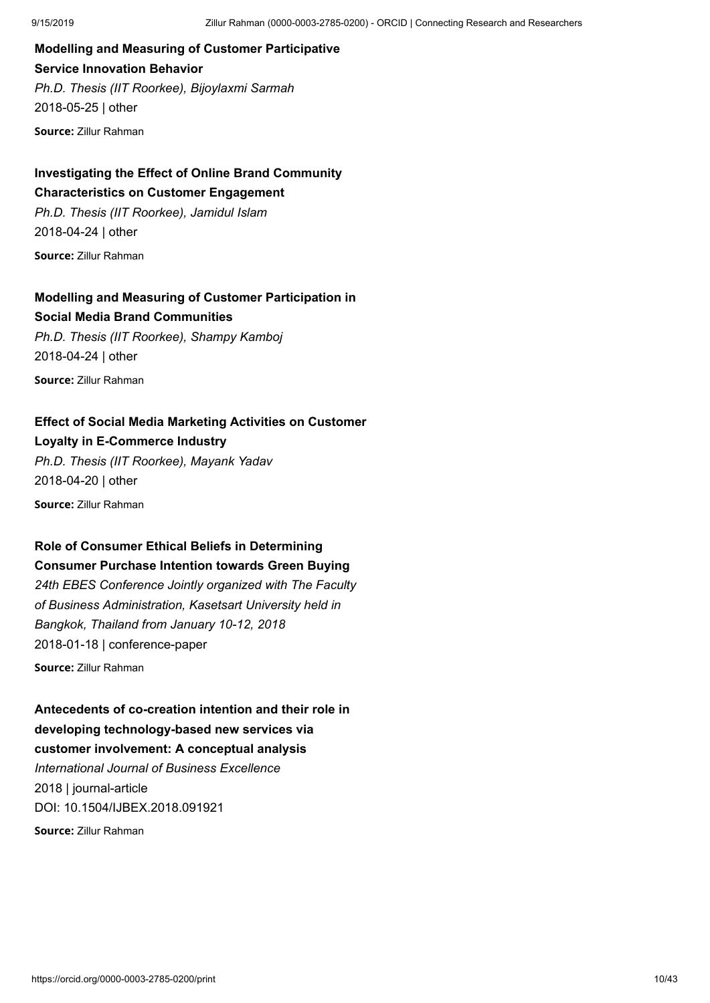## **Modelling and Measuring of Customer Participative Service Innovation Behavior** *Ph.D. Thesis (IIT Roorkee), Bijoylaxmi Sarmah* 2018-05-25 | other

**Source:** Zillur Rahman

## **Investigating the Effect of Online Brand Community Characteristics on Customer Engagement**

*Ph.D. Thesis (IIT Roorkee), Jamidul Islam* 2018-04-24 | other

**Source:** Zillur Rahman

### **Modelling and Measuring of Customer Participation in Social Media Brand Communities**

*Ph.D. Thesis (IIT Roorkee), Shampy Kamboj* 2018-04-24 | other **Source:** Zillur Rahman

### **Effect of Social Media Marketing Activities on Customer Loyalty in E-Commerce Industry**

*Ph.D. Thesis (IIT Roorkee), Mayank Yadav* 2018-04-20 | other

**Source:** Zillur Rahman

### **Role of Consumer Ethical Beliefs in Determining Consumer Purchase Intention towards Green Buying**

*24th EBES Conference Jointly organized with The Faculty of Business Administration, Kasetsart University held in Bangkok, Thailand from January 10-12, 2018* 2018-01-18 | conference-paper

**Source:** Zillur Rahman

**Antecedents of co-creation intention and their role in developing technology-based new services via customer involvement: A conceptual analysis** *International Journal of Business Excellence* 2018 | journal-article DOI: [10.1504/IJBEX.2018.091921](https://doi.org/10.1504/ijbex.2018.091921) **Source:** Zillur Rahman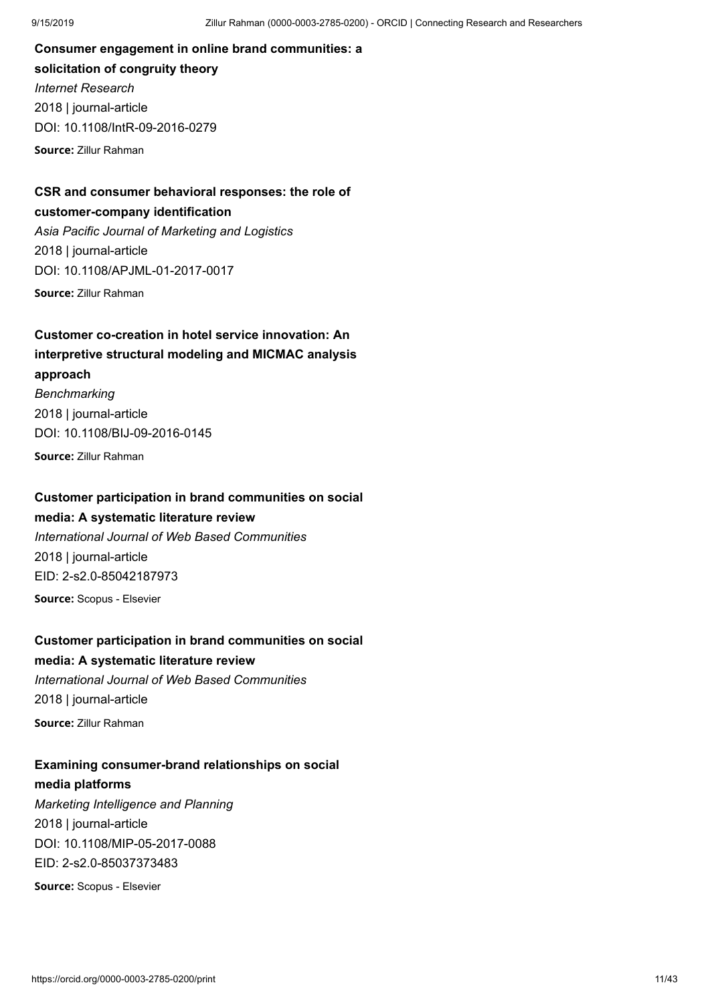**Consumer engagement in online brand communities: a solicitation of congruity theory** *Internet Research* 2018 | journal-article DOI: [10.1108/IntR-09-2016-0279](https://doi.org/10.1108/intr-09-2016-0279)

**Source:** Zillur Rahman

## **CSR and consumer behavioral responses: the role of customer-company identification** *Asia Pacific Journal of Marketing and Logistics* 2018 | journal-article

DOI: [10.1108/APJML-01-2017-0017](https://doi.org/10.1108/apjml-01-2017-0017)

**Source:** Zillur Rahman

## **Customer co-creation in hotel service innovation: An interpretive structural modeling and MICMAC analysis approach** *Benchmarking* 2018 | journal-article DOI: [10.1108/BIJ-09-2016-0145](https://doi.org/10.1108/bij-09-2016-0145) **Source:** Zillur Rahman

### **Customer participation in brand communities on social**

### **media: A systematic literature review**

*International Journal of Web Based Communities* 2018 | journal-article EID: 2-s2.0-85042187973 **Source:** Scopus - Elsevier

**Customer participation in brand communities on social**

### **media: A systematic literature review**

*International Journal of Web Based Communities* 2018 | journal-article **Source:** Zillur Rahman

### **Examining consumer-brand relationships on social media platforms**

*Marketing Intelligence and Planning* 2018 | journal-article DOI: [10.1108/MIP-05-2017-0088](https://doi.org/10.1108/mip-05-2017-0088) EID: 2-s2.0-85037373483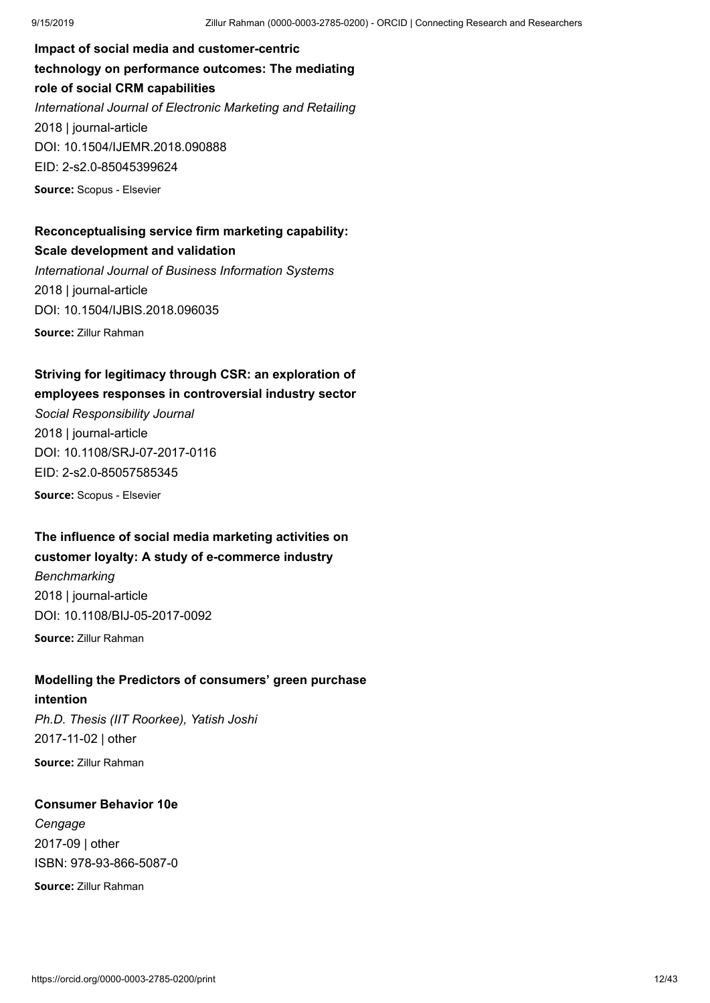**Impact of social media and customer-centric technology on performance outcomes: The mediating role of social CRM capabilities** *International Journal of Electronic Marketing and Retailing* 2018 | journal-article DOI: [10.1504/IJEMR.2018.090888](https://doi.org/10.1504/ijemr.2018.090888) EID: 2-s2.0-85045399624 **Source:** Scopus - Elsevier

## **Reconceptualising service firm marketing capability: Scale development and validation**

*International Journal of Business Information Systems* 2018 | journal-article DOI: [10.1504/IJBIS.2018.096035](https://doi.org/10.1504/ijbis.2018.096035) **Source:** Zillur Rahman

## **Striving for legitimacy through CSR: an exploration of**

### **employees responses in controversial industry sector**

*Social Responsibility Journal* 2018 | journal-article DOI: [10.1108/SRJ-07-2017-0116](https://doi.org/10.1108/srj-07-2017-0116) EID: 2-s2.0-85057585345 **Source:** Scopus - Elsevier

## **The influence of social media marketing activities on**

### **customer loyalty: A study of e-commerce industry**

*Benchmarking* 2018 | journal-article DOI: [10.1108/BIJ-05-2017-0092](https://doi.org/10.1108/bij-05-2017-0092)

**Source:** Zillur Rahman

### **Modelling the Predictors of consumers' green purchase**

#### **intention**

*Ph.D. Thesis (IIT Roorkee), Yatish Joshi* 2017-11-02 | other **Source:** Zillur Rahman

### **Consumer Behavior 10e**

*Cengage* 2017-09 | other ISBN: [978-93-866-5087-0](http://www.worldcat.org/isbn/9789386650870)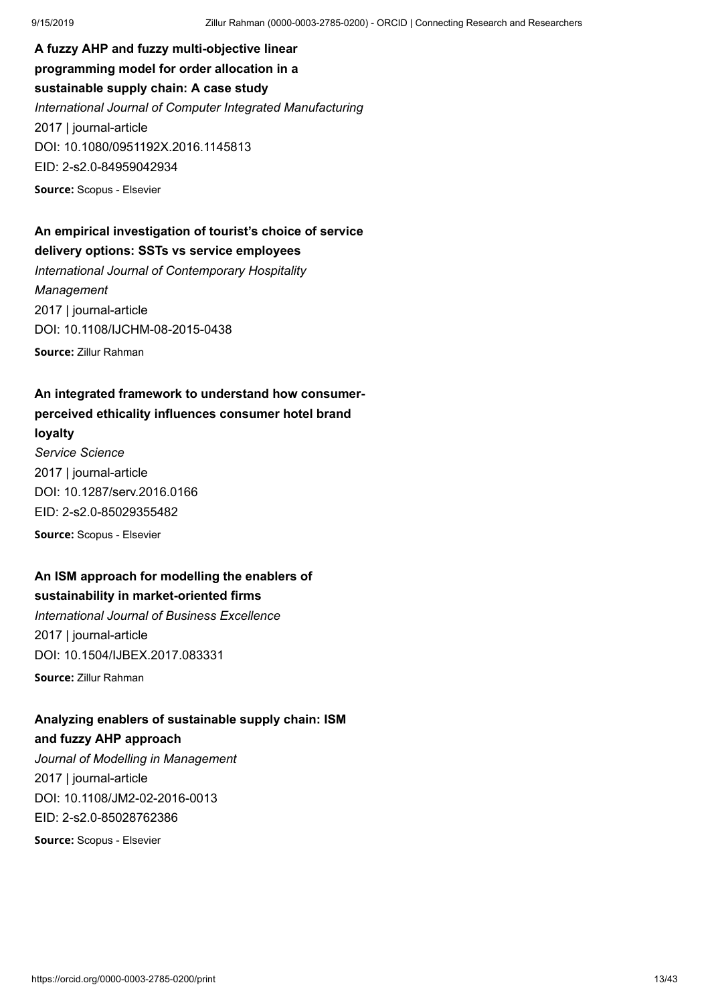**A fuzzy AHP and fuzzy multi-objective linear programming model for order allocation in a sustainable supply chain: A case study** *International Journal of Computer Integrated Manufacturing* 2017 | journal-article DOI: [10.1080/0951192X.2016.1145813](https://doi.org/10.1080/0951192x.2016.1145813) EID: 2-s2.0-84959042934 **Source:** Scopus - Elsevier

## **An empirical investigation of tourist's choice of service delivery options: SSTs vs service employees**

*International Journal of Contemporary Hospitality Management* 2017 | journal-article DOI: [10.1108/IJCHM-08-2015-0438](https://doi.org/10.1108/ijchm-08-2015-0438) **Source:** Zillur Rahman

## **An integrated framework to understand how consumerperceived ethicality influences consumer hotel brand loyalty**

*Service Science* 2017 | journal-article DOI: [10.1287/serv.2016.0166](https://doi.org/10.1287/serv.2016.0166) EID: 2-s2.0-85029355482 **Source:** Scopus - Elsevier

### **An ISM approach for modelling the enablers of sustainability in market-oriented firms**

*International Journal of Business Excellence* 2017 | journal-article DOI: [10.1504/IJBEX.2017.083331](https://doi.org/10.1504/ijbex.2017.083331)

**Source:** Zillur Rahman

## **Analyzing enablers of sustainable supply chain: ISM**

### **and fuzzy AHP approach**

*Journal of Modelling in Management* 2017 | journal-article DOI: [10.1108/JM2-02-2016-0013](https://doi.org/10.1108/jm2-02-2016-0013) EID: 2-s2.0-85028762386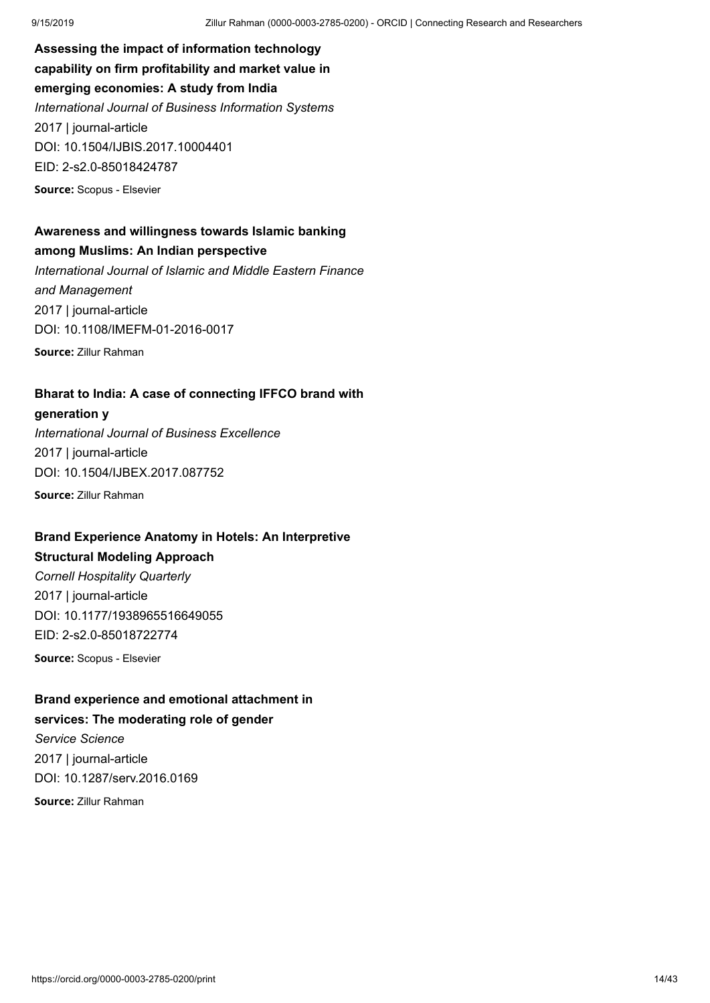**Assessing the impact of information technology capability on firm profitability and market value in emerging economies: A study from India** *International Journal of Business Information Systems* 2017 | journal-article DOI: [10.1504/IJBIS.2017.10004401](https://doi.org/10.1504/ijbis.2017.10004401) EID: 2-s2.0-85018424787 **Source:** Scopus - Elsevier

### **Awareness and willingness towards Islamic banking among Muslims: An Indian perspective**

*International Journal of Islamic and Middle Eastern Finance and Management* 2017 | journal-article DOI: [10.1108/IMEFM-01-2016-0017](https://doi.org/10.1108/imefm-01-2016-0017) **Source:** Zillur Rahman

**Bharat to India: A case of connecting IFFCO brand with**

#### **generation y**

*International Journal of Business Excellence* 2017 | journal-article DOI: [10.1504/IJBEX.2017.087752](https://doi.org/10.1504/ijbex.2017.087752) **Source:** Zillur Rahman

## **Brand Experience Anatomy in Hotels: An Interpretive**

### **Structural Modeling Approach**

*Cornell Hospitality Quarterly* 2017 | journal-article DOI: [10.1177/1938965516649055](https://doi.org/10.1177/1938965516649055) EID: 2-s2.0-85018722774 **Source:** Scopus - Elsevier

**Brand experience and emotional attachment in**

## **services: The moderating role of gender**

*Service Science* 2017 | journal-article DOI: [10.1287/serv.2016.0169](https://doi.org/10.1287/serv.2016.0169) **Source:** Zillur Rahman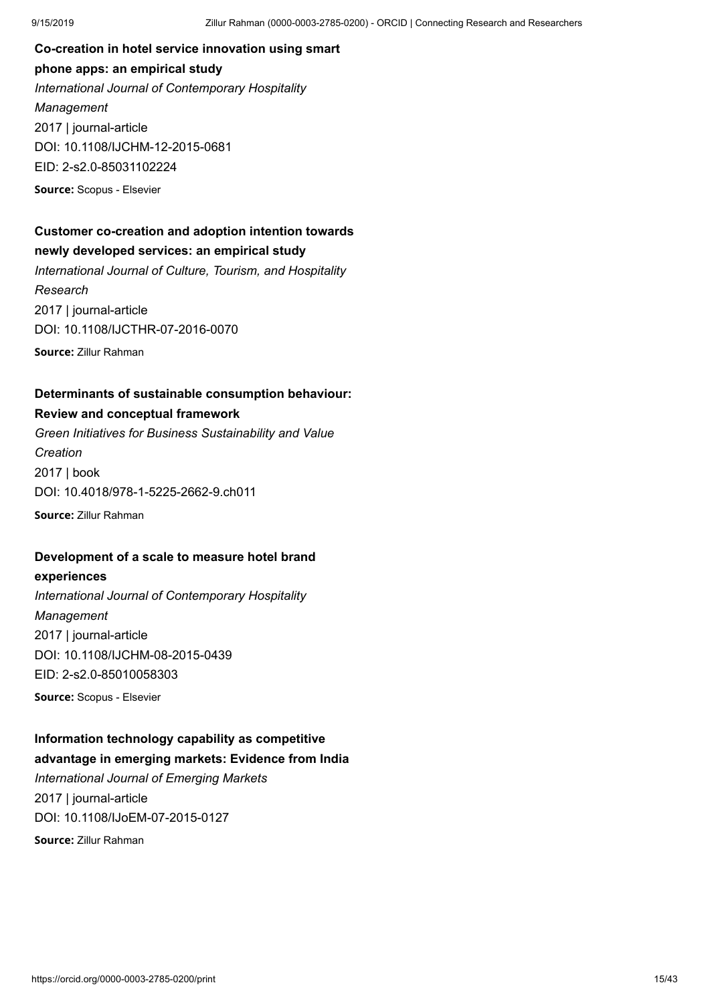**Co-creation in hotel service innovation using smart phone apps: an empirical study** *International Journal of Contemporary Hospitality Management* 2017 | journal-article DOI: [10.1108/IJCHM-12-2015-0681](https://doi.org/10.1108/ijchm-12-2015-0681) EID: 2-s2.0-85031102224 **Source:** Scopus - Elsevier

### **Customer co-creation and adoption intention towards newly developed services: an empirical study**

*International Journal of Culture, Tourism, and Hospitality Research* 2017 | journal-article DOI: [10.1108/IJCTHR-07-2016-0070](https://doi.org/10.1108/ijcthr-07-2016-0070) **Source:** Zillur Rahman

### **Determinants of sustainable consumption behaviour:**

### **Review and conceptual framework**

*Green Initiatives for Business Sustainability and Value Creation* 2017 | book DOI: [10.4018/978-1-5225-2662-9.ch011](https://doi.org/10.4018/978-1-5225-2662-9.ch011) **Source:** Zillur Rahman

### **Development of a scale to measure hotel brand**

**experiences** *International Journal of Contemporary Hospitality Management* 2017 | journal-article DOI: [10.1108/IJCHM-08-2015-0439](https://doi.org/10.1108/ijchm-08-2015-0439)

EID: 2-s2.0-85010058303

**Source:** Scopus - Elsevier

### **Information technology capability as competitive advantage in emerging markets: Evidence from India**

*International Journal of Emerging Markets* 2017 | journal-article DOI: [10.1108/IJoEM-07-2015-0127](https://doi.org/10.1108/ijoem-07-2015-0127)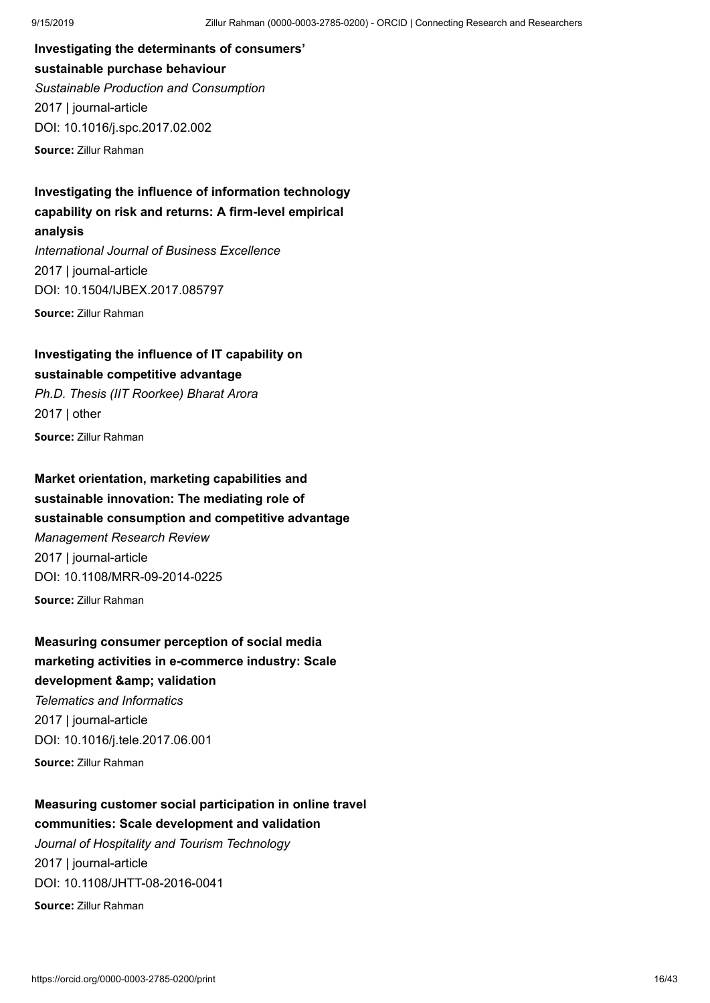**Investigating the determinants of consumers' sustainable purchase behaviour** *Sustainable Production and Consumption* 2017 | journal-article DOI: [10.1016/j.spc.2017.02.002](https://doi.org/10.1016/j.spc.2017.02.002)

**Source:** Zillur Rahman

**Investigating the influence of information technology capability on risk and returns: A firm-level empirical analysis** *International Journal of Business Excellence* 2017 | journal-article DOI: [10.1504/IJBEX.2017.085797](https://doi.org/10.1504/ijbex.2017.085797)

**Source:** Zillur Rahman

**Investigating the influence of IT capability on sustainable competitive advantage** *Ph.D. Thesis (IIT Roorkee) Bharat Arora* 2017 | other

**Source:** Zillur Rahman

**Market orientation, marketing capabilities and sustainable innovation: The mediating role of sustainable consumption and competitive advantage** *Management Research Review* 2017 | journal-article DOI: [10.1108/MRR-09-2014-0225](https://doi.org/10.1108/mrr-09-2014-0225) **Source:** Zillur Rahman

**Measuring consumer perception of social media marketing activities in e-commerce industry: Scale development & amp: validation** *Telematics and Informatics*

2017 | journal-article DOI: [10.1016/j.tele.2017.06.001](https://doi.org/10.1016/j.tele.2017.06.001) **Source:** Zillur Rahman

## **Measuring customer social participation in online travel communities: Scale development and validation**

*Journal of Hospitality and Tourism Technology* 2017 | journal-article DOI: [10.1108/JHTT-08-2016-0041](https://doi.org/10.1108/jhtt-08-2016-0041)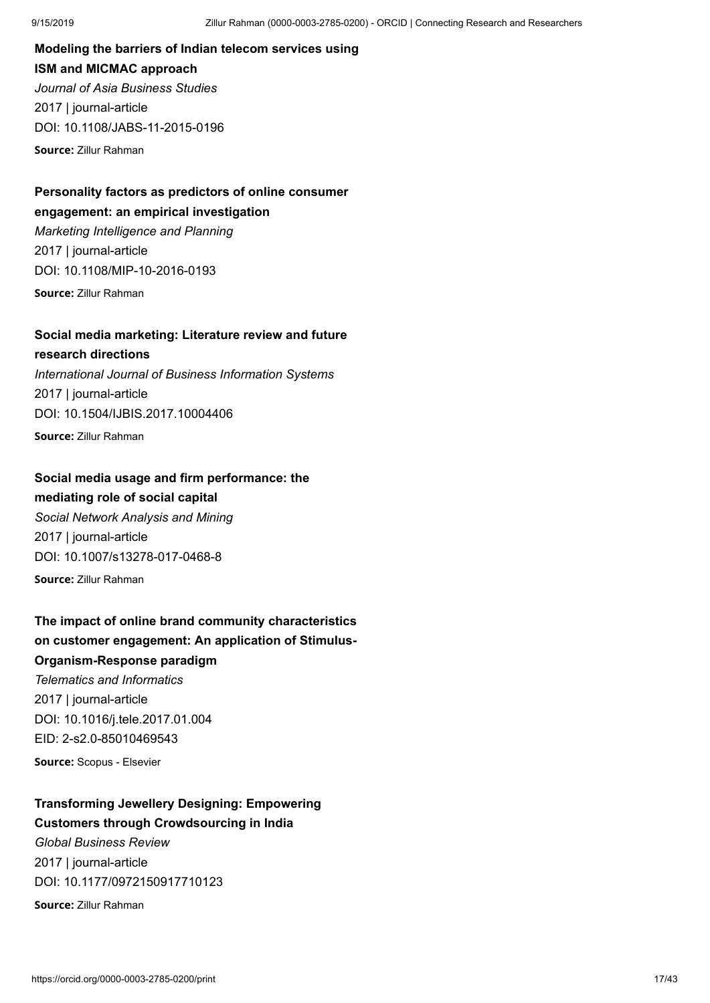**Modeling the barriers of Indian telecom services using ISM and MICMAC approach** *Journal of Asia Business Studies* 2017 | journal-article DOI: [10.1108/JABS-11-2015-0196](https://doi.org/10.1108/jabs-11-2015-0196)

**Source:** Zillur Rahman

### **Personality factors as predictors of online consumer engagement: an empirical investigation** *Marketing Intelligence and Planning*

2017 | journal-article DOI: [10.1108/MIP-10-2016-0193](https://doi.org/10.1108/mip-10-2016-0193)

**Source:** Zillur Rahman

## **Social media marketing: Literature review and future**

**research directions** *International Journal of Business Information Systems* 2017 | journal-article DOI: [10.1504/IJBIS.2017.10004406](https://doi.org/10.1504/ijbis.2017.10004406) **Source:** Zillur Rahman

### **Social media usage and firm performance: the mediating role of social capital**

*Social Network Analysis and Mining* 2017 | journal-article DOI: [10.1007/s13278-017-0468-8](https://doi.org/10.1007/s13278-017-0468-8) **Source:** Zillur Rahman

## **The impact of online brand community characteristics on customer engagement: An application of Stimulus-Organism-Response paradigm** *Telematics and Informatics* 2017 | journal-article

DOI: [10.1016/j.tele.2017.01.004](https://doi.org/10.1016/j.tele.2017.01.004) EID: 2-s2.0-85010469543

**Source:** Scopus - Elsevier

### **Transforming Jewellery Designing: Empowering Customers through Crowdsourcing in India**

*Global Business Review* 2017 | journal-article DOI: [10.1177/0972150917710123](https://doi.org/10.1177/0972150917710123)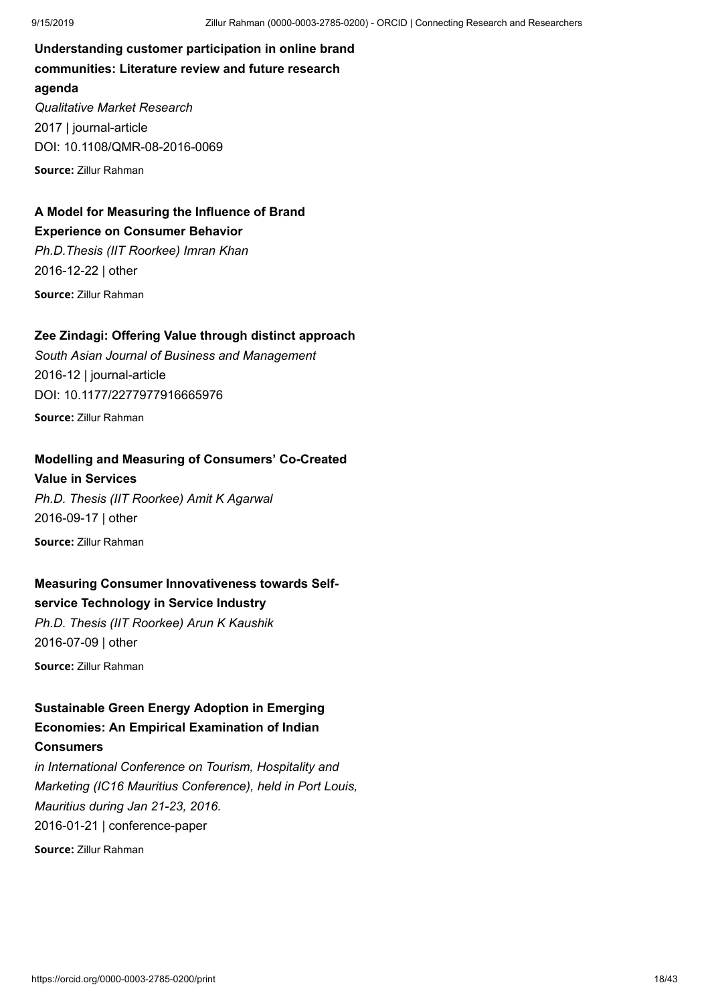**Understanding customer participation in online brand communities: Literature review and future research agenda** *Qualitative Market Research* 2017 | journal-article DOI: [10.1108/QMR-08-2016-0069](https://doi.org/10.1108/qmr-08-2016-0069) **Source:** Zillur Rahman

### **A Model for Measuring the Influence of Brand Experience on Consumer Behavior**

*Ph.D.Thesis (IIT Roorkee) Imran Khan* 2016-12-22 | other **Source:** Zillur Rahman

### **Zee Zindagi: Offering Value through distinct approach**

*South Asian Journal of Business and Management* 2016-12 | journal-article DOI: [10.1177/2277977916665976](https://doi.org/10.1177/2277977916665976) **Source:** Zillur Rahman

### **Modelling and Measuring of Consumers' Co-Created**

**Value in Services** *Ph.D. Thesis (IIT Roorkee) Amit K Agarwal* 2016-09-17 | other **Source:** Zillur Rahman

### **Measuring Consumer Innovativeness towards Selfservice Technology in Service Industry**

*Ph.D. Thesis (IIT Roorkee) Arun K Kaushik* 2016-07-09 | other

**Source:** Zillur Rahman

## **Sustainable Green Energy Adoption in Emerging Economies: An Empirical Examination of Indian**

### **Consumers**

*in International Conference on Tourism, Hospitality and Marketing (IC16 Mauritius Conference), held in Port Louis, Mauritius during Jan 21-23, 2016.* 2016-01-21 | conference-paper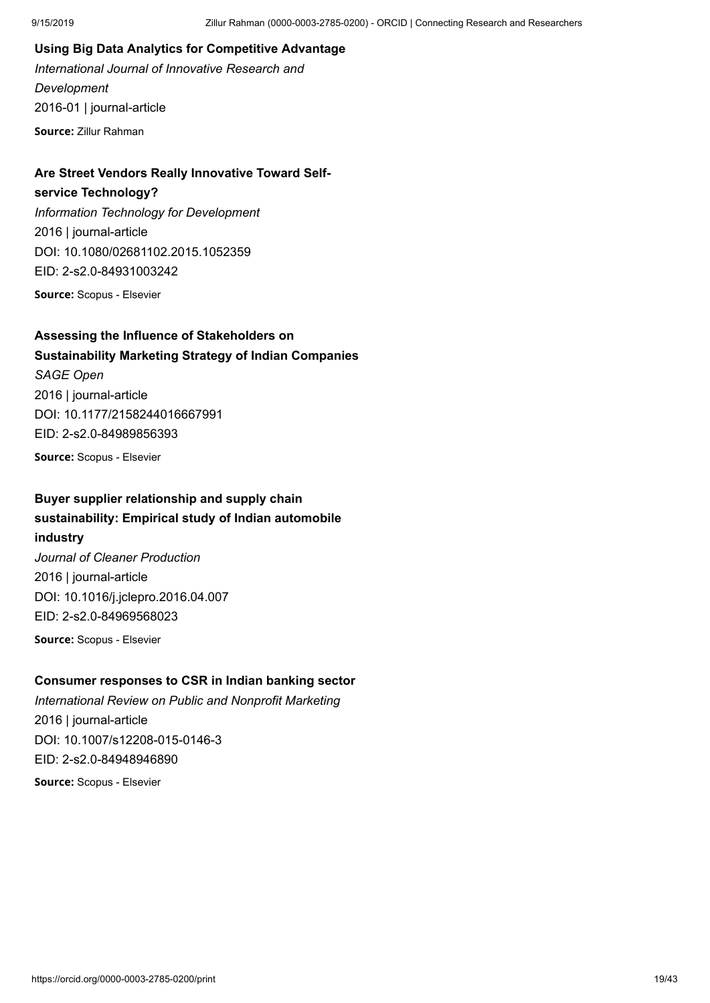### **Using Big Data Analytics for Competitive Advantage**

*International Journal of Innovative Research and Development* 2016-01 | journal-article **Source:** Zillur Rahman

### **Are Street Vendors Really Innovative Toward Self-**

#### **service Technology?**

*Information Technology for Development* 2016 | journal-article DOI: [10.1080/02681102.2015.1052359](https://doi.org/10.1080/02681102.2015.1052359) EID: 2-s2.0-84931003242

**Source:** Scopus - Elsevier

### **Assessing the Influence of Stakeholders on Sustainability Marketing Strategy of Indian Companies**

*SAGE Open* 2016 | journal-article DOI: [10.1177/2158244016667991](https://doi.org/10.1177/2158244016667991) EID: 2-s2.0-84989856393

**Source:** Scopus - Elsevier

### **Buyer supplier relationship and supply chain sustainability: Empirical study of Indian automobile industry**

*Journal of Cleaner Production* 2016 | journal-article DOI: [10.1016/j.jclepro.2016.04.007](https://doi.org/10.1016/j.jclepro.2016.04.007) EID: 2-s2.0-84969568023

**Source:** Scopus - Elsevier

### **Consumer responses to CSR in Indian banking sector**

*International Review on Public and Nonprofit Marketing* 2016 | journal-article DOI: [10.1007/s12208-015-0146-3](https://doi.org/10.1007/s12208-015-0146-3) EID: 2-s2.0-84948946890 **Source:** Scopus - Elsevier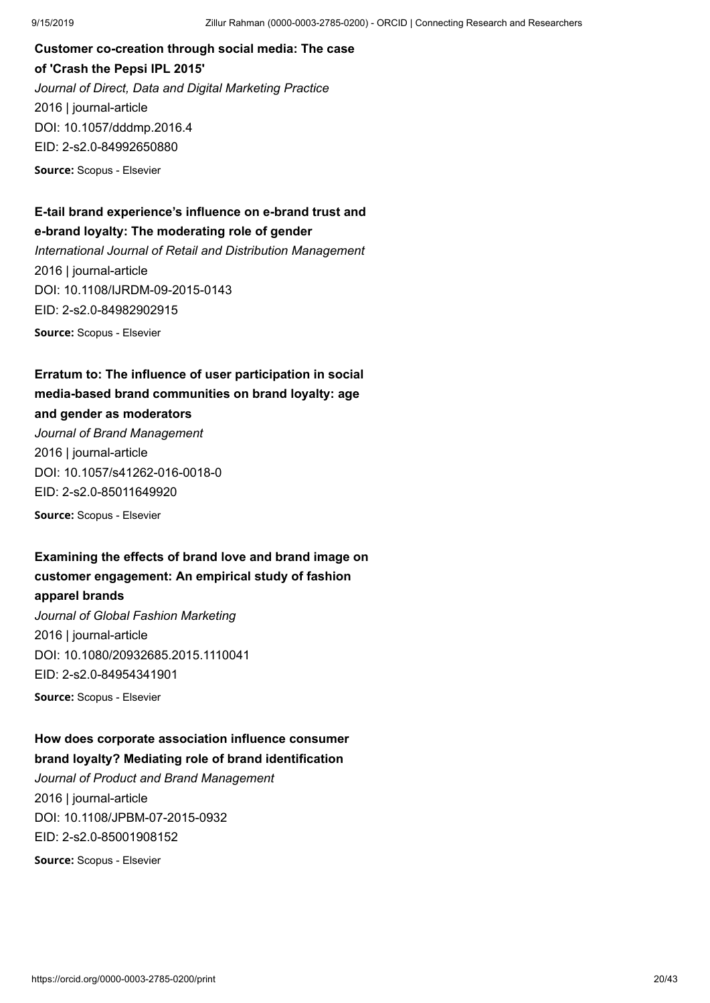**Customer co-creation through social media: The case of 'Crash the Pepsi IPL 2015'** *Journal of Direct, Data and Digital Marketing Practice* 2016 | journal-article DOI: [10.1057/dddmp.2016.4](https://doi.org/10.1057/dddmp.2016.4) EID: 2-s2.0-84992650880

**Source:** Scopus - Elsevier

### **E-tail brand experience's influence on e-brand trust and e-brand loyalty: The moderating role of gender**

*International Journal of Retail and Distribution Management* 2016 | journal-article DOI: [10.1108/IJRDM-09-2015-0143](https://doi.org/10.1108/ijrdm-09-2015-0143) EID: 2-s2.0-84982902915 **Source:** Scopus - Elsevier

**Erratum to: The influence of user participation in social media-based brand communities on brand loyalty: age and gender as moderators**

*Journal of Brand Management* 2016 | journal-article DOI: [10.1057/s41262-016-0018-0](https://doi.org/10.1057/s41262-016-0018-0) EID: 2-s2.0-85011649920

**Source:** Scopus - Elsevier

### **Examining the effects of brand love and brand image on customer engagement: An empirical study of fashion apparel brands**

*Journal of Global Fashion Marketing* 2016 | journal-article DOI: [10.1080/20932685.2015.1110041](https://doi.org/10.1080/20932685.2015.1110041) EID: 2-s2.0-84954341901

**Source:** Scopus - Elsevier

### **How does corporate association influence consumer brand loyalty? Mediating role of brand identification**

*Journal of Product and Brand Management* 2016 | journal-article DOI: [10.1108/JPBM-07-2015-0932](https://doi.org/10.1108/jpbm-07-2015-0932) EID: 2-s2.0-85001908152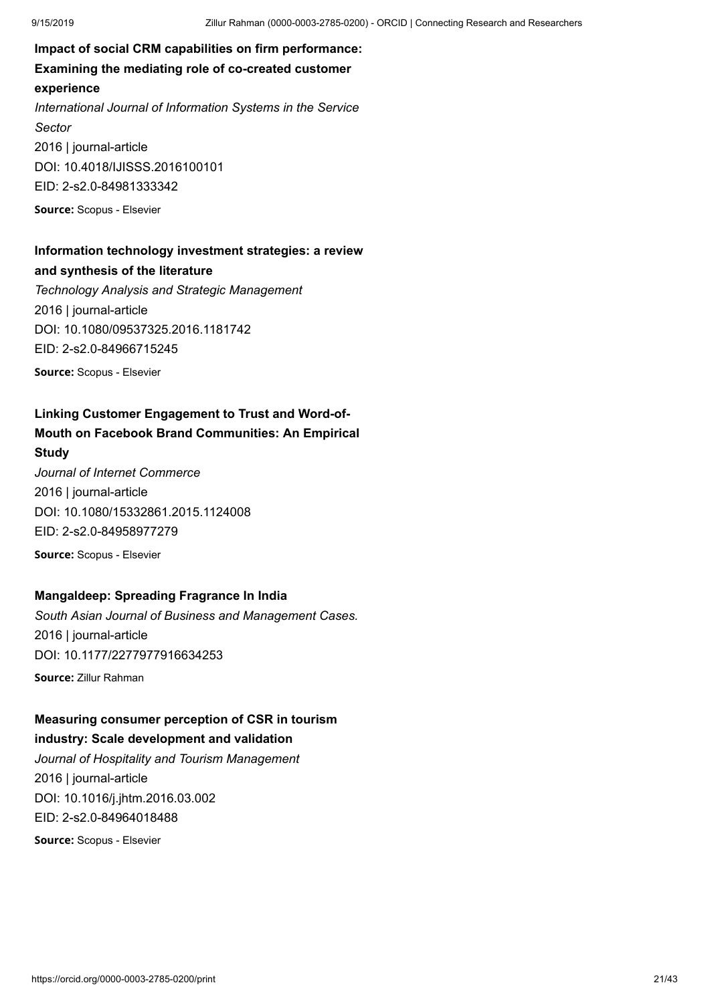**Impact of social CRM capabilities on firm performance: Examining the mediating role of co-created customer experience** *International Journal of Information Systems in the Service Sector* 2016 | journal-article DOI: [10.4018/IJISSS.2016100101](https://doi.org/10.4018/ijisss.2016100101) EID: 2-s2.0-84981333342 **Source:** Scopus - Elsevier

### **Information technology investment strategies: a review and synthesis of the literature**

*Technology Analysis and Strategic Management* 2016 | journal-article DOI: [10.1080/09537325.2016.1181742](https://doi.org/10.1080/09537325.2016.1181742) EID: 2-s2.0-84966715245 **Source:** Scopus - Elsevier

**Linking Customer Engagement to Trust and Word-of-**

### **Mouth on Facebook Brand Communities: An Empirical**

#### **Study**

*Journal of Internet Commerce* 2016 | journal-article DOI: [10.1080/15332861.2015.1124008](https://doi.org/10.1080/15332861.2015.1124008) EID: 2-s2.0-84958977279 **Source:** Scopus - Elsevier

## **Mangaldeep: Spreading Fragrance In India**

*South Asian Journal of Business and Management Cases.* 2016 | journal-article DOI: [10.1177/2277977916634253](https://doi.org/10.1177/2277977916634253)

**Source:** Zillur Rahman

## **Measuring consumer perception of CSR in tourism**

**industry: Scale development and validation**

*Journal of Hospitality and Tourism Management* 2016 | journal-article DOI: [10.1016/j.jhtm.2016.03.002](https://doi.org/10.1016/j.jhtm.2016.03.002) EID: 2-s2.0-84964018488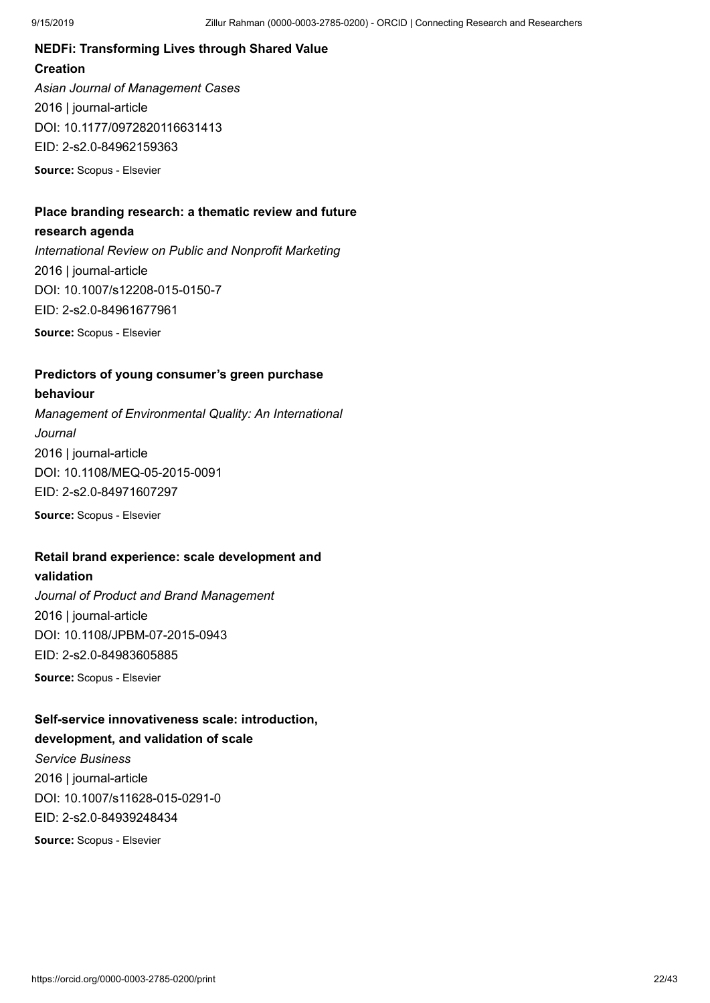## **NEDFi: Transforming Lives through Shared Value Creation**

*Asian Journal of Management Cases* 2016 | journal-article DOI: [10.1177/0972820116631413](https://doi.org/10.1177/0972820116631413) EID: 2-s2.0-84962159363 **Source:** Scopus - Elsevier

**Place branding research: a thematic review and future**

### **research agenda**

*International Review on Public and Nonprofit Marketing* 2016 | journal-article DOI: [10.1007/s12208-015-0150-7](https://doi.org/10.1007/s12208-015-0150-7) EID: 2-s2.0-84961677961

**Source:** Scopus - Elsevier

### **Predictors of young consumer's green purchase**

### **behaviour**

*Management of Environmental Quality: An International Journal* 2016 | journal-article DOI: [10.1108/MEQ-05-2015-0091](https://doi.org/10.1108/meq-05-2015-0091) EID: 2-s2.0-84971607297

**Source:** Scopus - Elsevier

## **Retail brand experience: scale development and**

### **validation**

*Journal of Product and Brand Management* 2016 | journal-article DOI: [10.1108/JPBM-07-2015-0943](https://doi.org/10.1108/jpbm-07-2015-0943) EID: 2-s2.0-84983605885

**Source:** Scopus - Elsevier

### **Self-service innovativeness scale: introduction, development, and validation of scale**

*Service Business* 2016 | journal-article DOI: [10.1007/s11628-015-0291-0](https://doi.org/10.1007/s11628-015-0291-0) EID: 2-s2.0-84939248434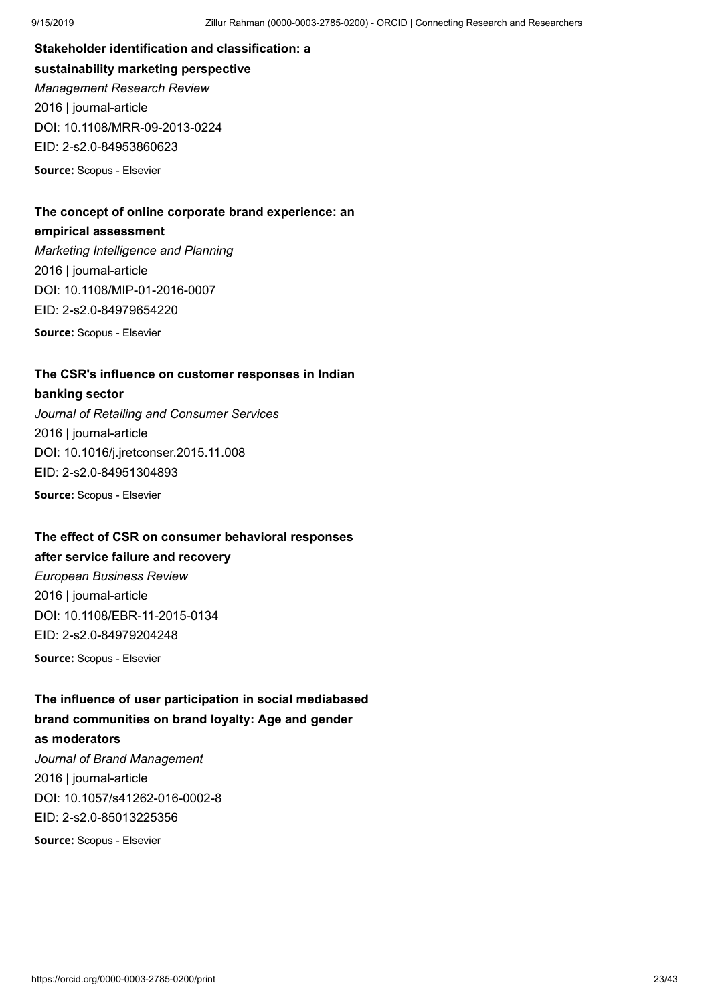**Stakeholder identification and classification: a sustainability marketing perspective** *Management Research Review* 2016 | journal-article DOI: [10.1108/MRR-09-2013-0224](https://doi.org/10.1108/mrr-09-2013-0224) EID: 2-s2.0-84953860623

**Source:** Scopus - Elsevier

### **The concept of online corporate brand experience: an empirical assessment**

*Marketing Intelligence and Planning* 2016 | journal-article DOI: [10.1108/MIP-01-2016-0007](https://doi.org/10.1108/mip-01-2016-0007) EID: 2-s2.0-84979654220 **Source:** Scopus - Elsevier

**The CSR's influence on customer responses in Indian**

### **banking sector**

*Journal of Retailing and Consumer Services* 2016 | journal-article DOI: [10.1016/j.jretconser.2015.11.008](https://doi.org/10.1016/j.jretconser.2015.11.008) EID: 2-s2.0-84951304893

**Source:** Scopus - Elsevier

### **The effect of CSR on consumer behavioral responses**

### **after service failure and recovery**

*European Business Review* 2016 | journal-article DOI: [10.1108/EBR-11-2015-0134](https://doi.org/10.1108/ebr-11-2015-0134) EID: 2-s2.0-84979204248

**Source:** Scopus - Elsevier

## **The influence of user participation in social mediabased brand communities on brand loyalty: Age and gender as moderators** *Journal of Brand Management* 2016 | journal-article DOI: [10.1057/s41262-016-0002-8](https://doi.org/10.1057/s41262-016-0002-8) EID: 2-s2.0-85013225356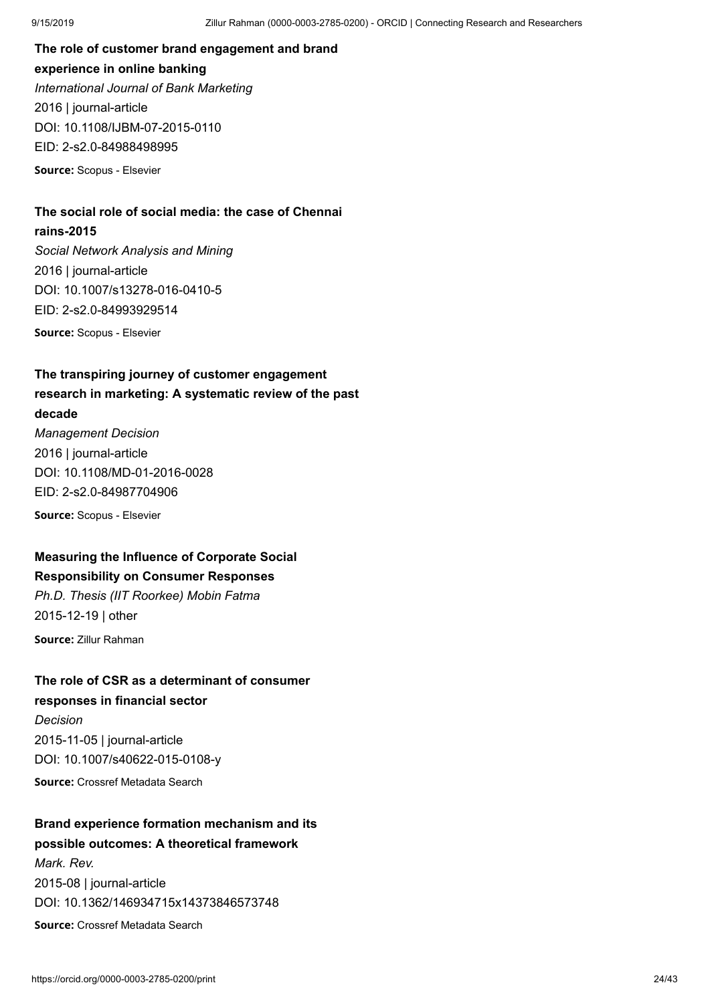**The role of customer brand engagement and brand experience in online banking** *International Journal of Bank Marketing* 2016 | journal-article DOI: [10.1108/IJBM-07-2015-0110](https://doi.org/10.1108/ijbm-07-2015-0110) EID: 2-s2.0-84988498995

**Source:** Scopus - Elsevier

### **The social role of social media: the case of Chennai rains-2015**

*Social Network Analysis and Mining* 2016 | journal-article DOI: [10.1007/s13278-016-0410-5](https://doi.org/10.1007/s13278-016-0410-5) EID: 2-s2.0-84993929514 **Source:** Scopus - Elsevier

**The transpiring journey of customer engagement research in marketing: A systematic review of the past decade** *Management Decision*

2016 | journal-article DOI: [10.1108/MD-01-2016-0028](https://doi.org/10.1108/md-01-2016-0028) EID: 2-s2.0-84987704906

**Source:** Scopus - Elsevier

### **Measuring the Influence of Corporate Social Responsibility on Consumer Responses**

*Ph.D. Thesis (IIT Roorkee) Mobin Fatma* 2015-12-19 | other

**Source:** Zillur Rahman

### **The role of CSR as a determinant of consumer responses in financial sector**

*Decision* 2015-11-05 | journal-article DOI: [10.1007/s40622-015-0108-y](https://doi.org/10.1007/s40622-015-0108-y) **Source:** Crossref Metadata Search

## **Brand experience formation mechanism and its possible outcomes: A theoretical framework** *Mark. Rev.*

2015-08 | journal-article DOI: [10.1362/146934715x14373846573748](https://doi.org/10.1362/146934715x14373846573748)

**Source:** Crossref Metadata Search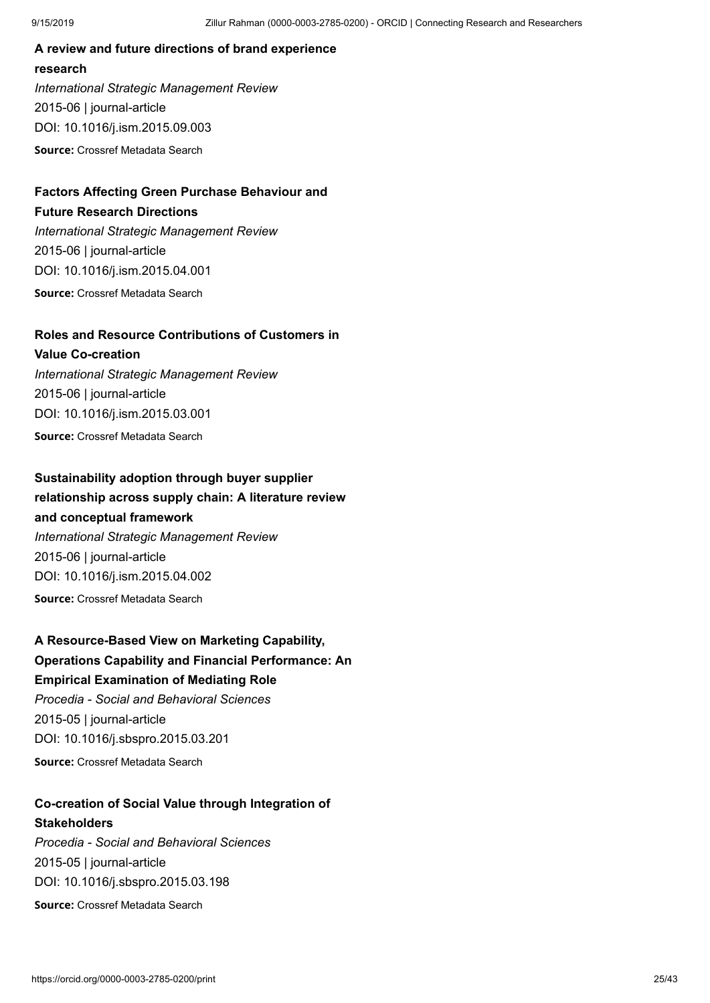### **A review and future directions of brand experience research**

*International Strategic Management Review* 2015-06 | journal-article DOI: [10.1016/j.ism.2015.09.003](https://doi.org/10.1016/j.ism.2015.09.003)

**Source:** Crossref Metadata Search

## **Factors Affecting Green Purchase Behaviour and**

### **Future Research Directions**

*International Strategic Management Review* 2015-06 | journal-article DOI: [10.1016/j.ism.2015.04.001](https://doi.org/10.1016/j.ism.2015.04.001) **Source:** Crossref Metadata Search

### **Roles and Resource Contributions of Customers in**

## **Value Co-creation** *International Strategic Management Review* 2015-06 | journal-article DOI: [10.1016/j.ism.2015.03.001](https://doi.org/10.1016/j.ism.2015.03.001)

**Source:** Crossref Metadata Search

## **Sustainability adoption through buyer supplier**

## **relationship across supply chain: A literature review and conceptual framework**

*International Strategic Management Review* 2015-06 | journal-article DOI: [10.1016/j.ism.2015.04.002](https://doi.org/10.1016/j.ism.2015.04.002) **Source:** Crossref Metadata Search

## **A Resource-Based View on Marketing Capability, Operations Capability and Financial Performance: An Empirical Examination of Mediating Role** *Procedia - Social and Behavioral Sciences*

2015-05 | journal-article DOI: [10.1016/j.sbspro.2015.03.201](https://doi.org/10.1016/j.sbspro.2015.03.201) **Source:** Crossref Metadata Search

## **Co-creation of Social Value through Integration of Stakeholders**

*Procedia - Social and Behavioral Sciences* 2015-05 | journal-article DOI: [10.1016/j.sbspro.2015.03.198](https://doi.org/10.1016/j.sbspro.2015.03.198)

**Source:** Crossref Metadata Search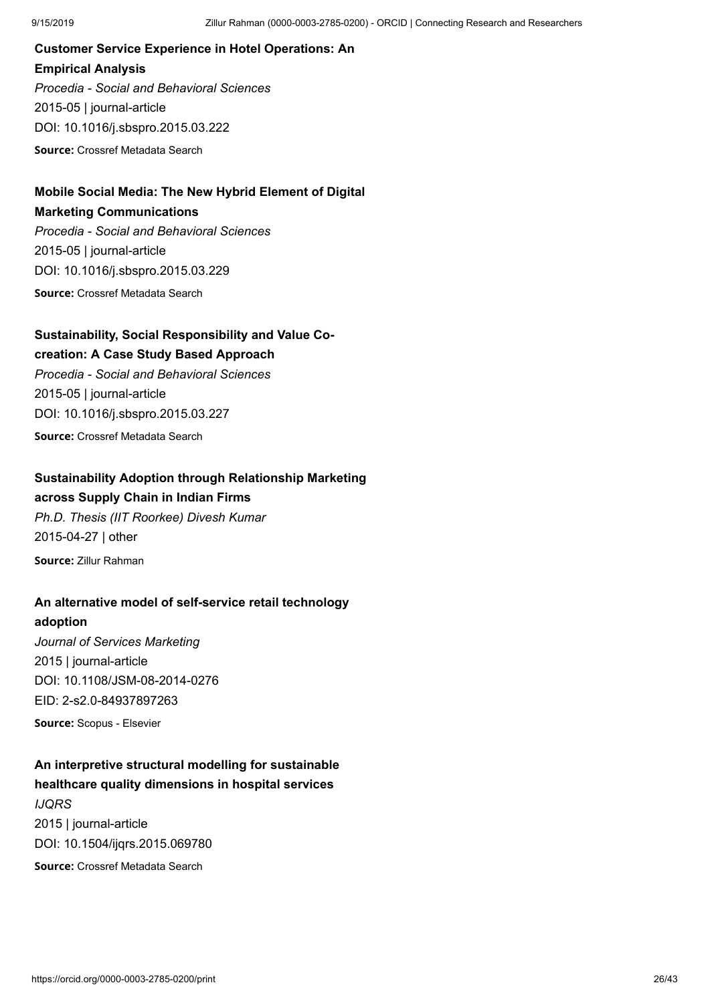**Customer Service Experience in Hotel Operations: An Empirical Analysis** *Procedia - Social and Behavioral Sciences* 2015-05 | journal-article DOI: [10.1016/j.sbspro.2015.03.222](https://doi.org/10.1016/j.sbspro.2015.03.222)

**Source:** Crossref Metadata Search

## **Mobile Social Media: The New Hybrid Element of Digital Marketing Communications**

*Procedia - Social and Behavioral Sciences* 2015-05 | journal-article DOI: [10.1016/j.sbspro.2015.03.229](https://doi.org/10.1016/j.sbspro.2015.03.229) **Source:** Crossref Metadata Search

### **Sustainability, Social Responsibility and Value Co-**

### **creation: A Case Study Based Approach**

*Procedia - Social and Behavioral Sciences* 2015-05 | journal-article DOI: [10.1016/j.sbspro.2015.03.227](https://doi.org/10.1016/j.sbspro.2015.03.227) **Source:** Crossref Metadata Search

## **Sustainability Adoption through Relationship Marketing**

**across Supply Chain in Indian Firms**

*Ph.D. Thesis (IIT Roorkee) Divesh Kumar* 2015-04-27 | other **Source:** Zillur Rahman

### **An alternative model of self-service retail technology**

**adoption**

*Journal of Services Marketing* 2015 | journal-article DOI: [10.1108/JSM-08-2014-0276](https://doi.org/10.1108/jsm-08-2014-0276) EID: 2-s2.0-84937897263

**Source:** Scopus - Elsevier

### **An interpretive structural modelling for sustainable healthcare quality dimensions in hospital services**

*IJQRS* 2015 | journal-article DOI: [10.1504/ijqrs.2015.069780](https://doi.org/10.1504/ijqrs.2015.069780) **Source:** Crossref Metadata Search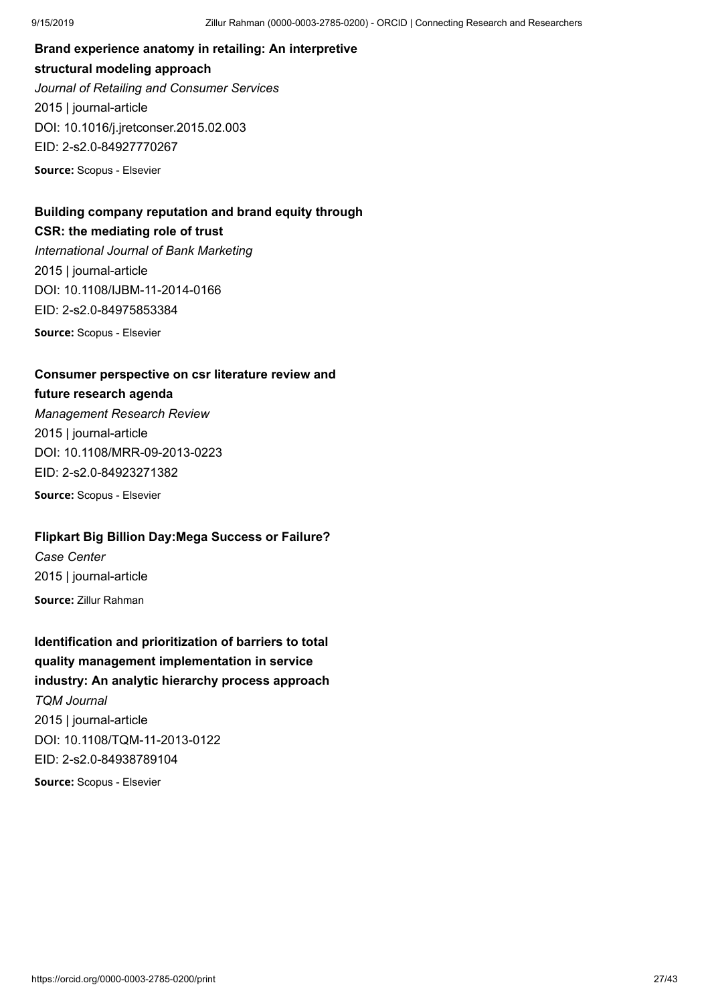**Brand experience anatomy in retailing: An interpretive structural modeling approach** *Journal of Retailing and Consumer Services* 2015 | journal-article DOI: [10.1016/j.jretconser.2015.02.003](https://doi.org/10.1016/j.jretconser.2015.02.003) EID: 2-s2.0-84927770267

**Source:** Scopus - Elsevier

## **Building company reputation and brand equity through CSR: the mediating role of trust**

*International Journal of Bank Marketing* 2015 | journal-article DOI: [10.1108/IJBM-11-2014-0166](https://doi.org/10.1108/ijbm-11-2014-0166) EID: 2-s2.0-84975853384

**Source:** Scopus - Elsevier

### **Consumer perspective on csr literature review and**

### **future research agenda**

*Management Research Review* 2015 | journal-article DOI: [10.1108/MRR-09-2013-0223](https://doi.org/10.1108/mrr-09-2013-0223) EID: 2-s2.0-84923271382

**Source:** Scopus - Elsevier

### **Flipkart Big Billion Day:Mega Success or Failure?**

*Case Center* 2015 | journal-article **Source:** Zillur Rahman

## **Identification and prioritization of barriers to total quality management implementation in service industry: An analytic hierarchy process approach** *TQM Journal* 2015 | journal-article DOI: [10.1108/TQM-11-2013-0122](https://doi.org/10.1108/tqm-11-2013-0122) EID: 2-s2.0-84938789104 **Source:** Scopus - Elsevier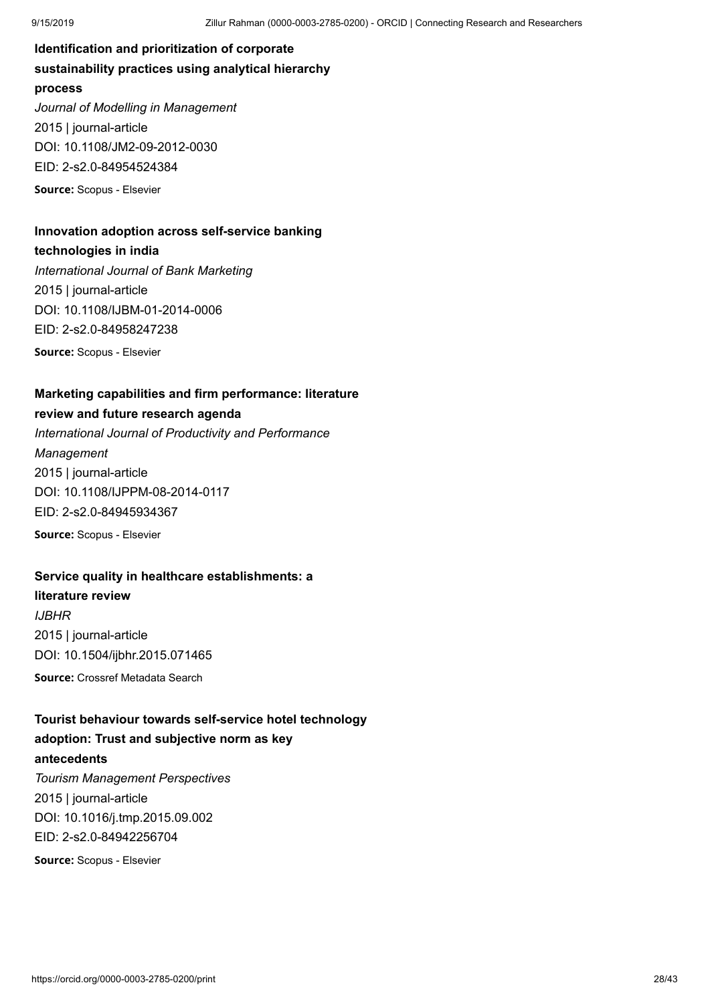**Identification and prioritization of corporate sustainability practices using analytical hierarchy process** *Journal of Modelling in Management* 2015 | journal-article DOI: [10.1108/JM2-09-2012-0030](https://doi.org/10.1108/jm2-09-2012-0030) EID: 2-s2.0-84954524384 **Source:** Scopus - Elsevier

## **Innovation adoption across self-service banking**

### **technologies in india**

*International Journal of Bank Marketing* 2015 | journal-article DOI: [10.1108/IJBM-01-2014-0006](https://doi.org/10.1108/ijbm-01-2014-0006) EID: 2-s2.0-84958247238

**Source:** Scopus - Elsevier

### **Marketing capabilities and firm performance: literature**

### **review and future research agenda**

*International Journal of Productivity and Performance Management* 2015 | journal-article DOI: [10.1108/IJPPM-08-2014-0117](https://doi.org/10.1108/ijppm-08-2014-0117) EID: 2-s2.0-84945934367 **Source:** Scopus - Elsevier

### **Service quality in healthcare establishments: a**

### **literature review**

*IJBHR* 2015 | journal-article DOI: [10.1504/ijbhr.2015.071465](https://doi.org/10.1504/ijbhr.2015.071465)

**Source:** Crossref Metadata Search

## **Tourist behaviour towards self-service hotel technology adoption: Trust and subjective norm as key antecedents** *Tourism Management Perspectives*

2015 | journal-article DOI: [10.1016/j.tmp.2015.09.002](https://doi.org/10.1016/j.tmp.2015.09.002) EID: 2-s2.0-84942256704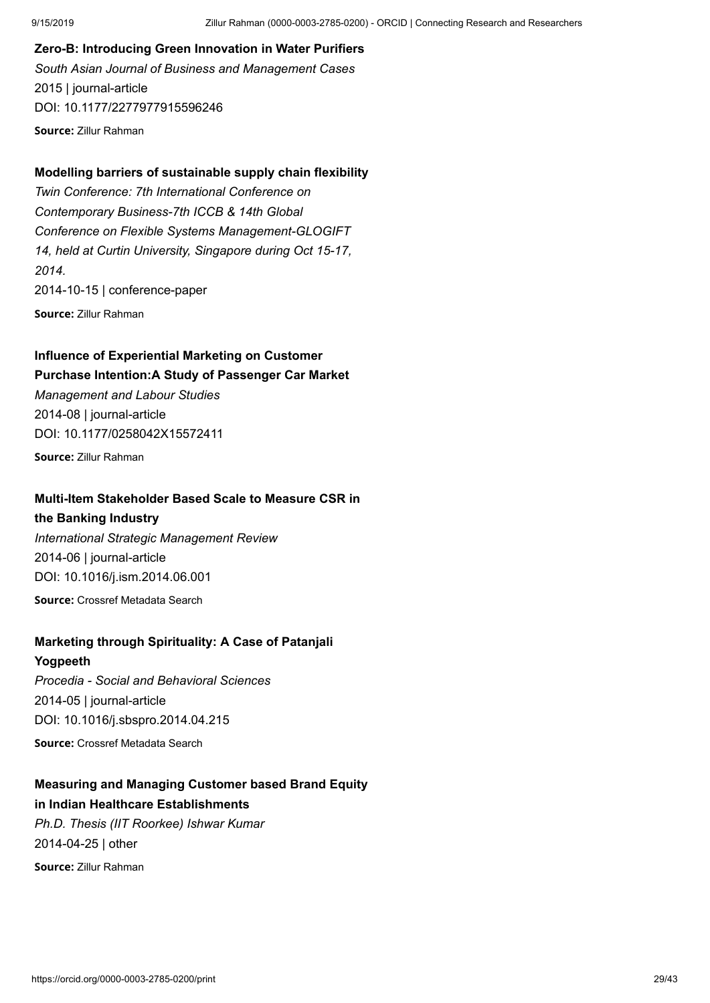### **Zero-B: Introducing Green Innovation in Water Purifiers**

*South Asian Journal of Business and Management Cases* 2015 | journal-article DOI: [10.1177/2277977915596246](https://doi.org/10.1177/2277977915596246) **Source:** Zillur Rahman

### **Modelling barriers of sustainable supply chain flexibility**

*Twin Conference: 7th International Conference on Contemporary Business-7th ICCB & 14th Global Conference on Flexible Systems Management-GLOGIFT 14, held at Curtin University, Singapore during Oct 15-17, 2014.* 2014-10-15 | conference-paper **Source:** Zillur Rahman

## **Influence of Experiential Marketing on Customer**

### **Purchase Intention:A Study of Passenger Car Market**

*Management and Labour Studies* 2014-08 | journal-article DOI: [10.1177/0258042X15572411](https://doi.org/10.1177/0258042x15572411)

**Source:** Zillur Rahman

### **Multi-Item Stakeholder Based Scale to Measure CSR in**

### **the Banking Industry**

*International Strategic Management Review* 2014-06 | journal-article DOI: [10.1016/j.ism.2014.06.001](https://doi.org/10.1016/j.ism.2014.06.001) **Source:** Crossref Metadata Search

### **Marketing through Spirituality: A Case of Patanjali**

### **Yogpeeth**

*Procedia - Social and Behavioral Sciences* 2014-05 | journal-article DOI: [10.1016/j.sbspro.2014.04.215](https://doi.org/10.1016/j.sbspro.2014.04.215) **Source:** Crossref Metadata Search

### **Measuring and Managing Customer based Brand Equity in Indian Healthcare Establishments**

*Ph.D. Thesis (IIT Roorkee) Ishwar Kumar* 2014-04-25 | other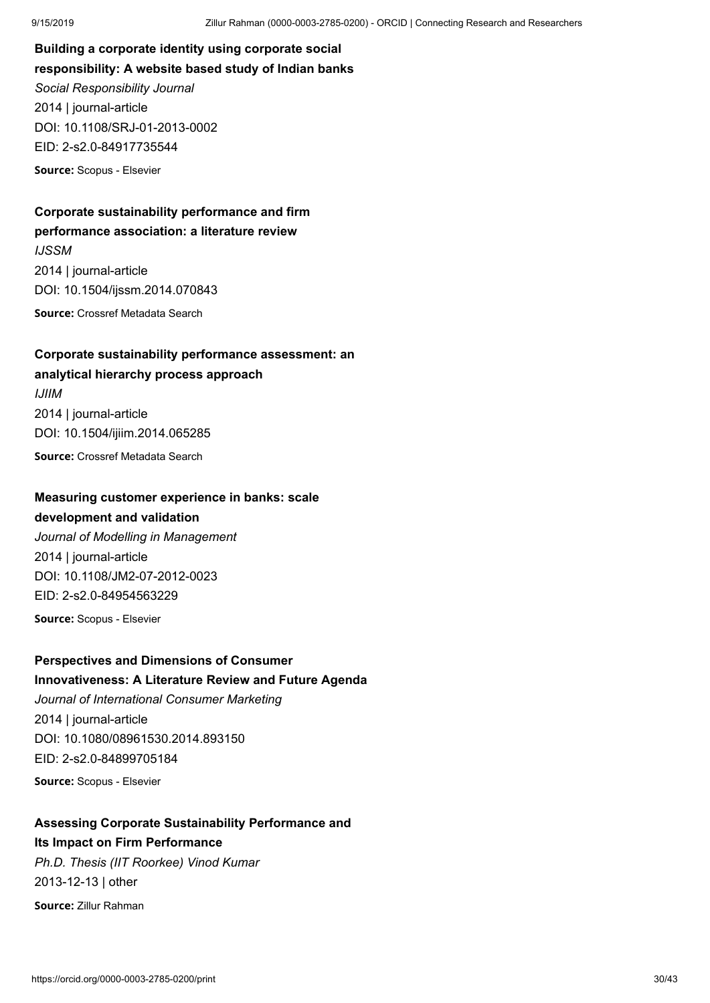**Building a corporate identity using corporate social responsibility: A website based study of Indian banks** *Social Responsibility Journal* 2014 | journal-article DOI: [10.1108/SRJ-01-2013-0002](https://doi.org/10.1108/srj-01-2013-0002) EID: 2-s2.0-84917735544 **Source:** Scopus - Elsevier

### **Corporate sustainability performance and firm performance association: a literature review**

*IJSSM* 2014 | journal-article DOI: [10.1504/ijssm.2014.070843](https://doi.org/10.1504/ijssm.2014.070843) **Source:** Crossref Metadata Search

### **Corporate sustainability performance assessment: an analytical hierarchy process approach**

*IJIIM* 2014 | journal-article DOI: [10.1504/ijiim.2014.065285](https://doi.org/10.1504/ijiim.2014.065285)

**Source:** Crossref Metadata Search

## **Measuring customer experience in banks: scale**

### **development and validation**

*Journal of Modelling in Management* 2014 | journal-article DOI: [10.1108/JM2-07-2012-0023](https://doi.org/10.1108/jm2-07-2012-0023) EID: 2-s2.0-84954563229

**Source:** Scopus - Elsevier

### **Perspectives and Dimensions of Consumer Innovativeness: A Literature Review and Future Agenda**

*Journal of International Consumer Marketing* 2014 | journal-article DOI: [10.1080/08961530.2014.893150](https://doi.org/10.1080/08961530.2014.893150) EID: 2-s2.0-84899705184

**Source:** Scopus - Elsevier

### **Assessing Corporate Sustainability Performance and Its Impact on Firm Performance**

*Ph.D. Thesis (IIT Roorkee) Vinod Kumar* 2013-12-13 | other **Source:** Zillur Rahman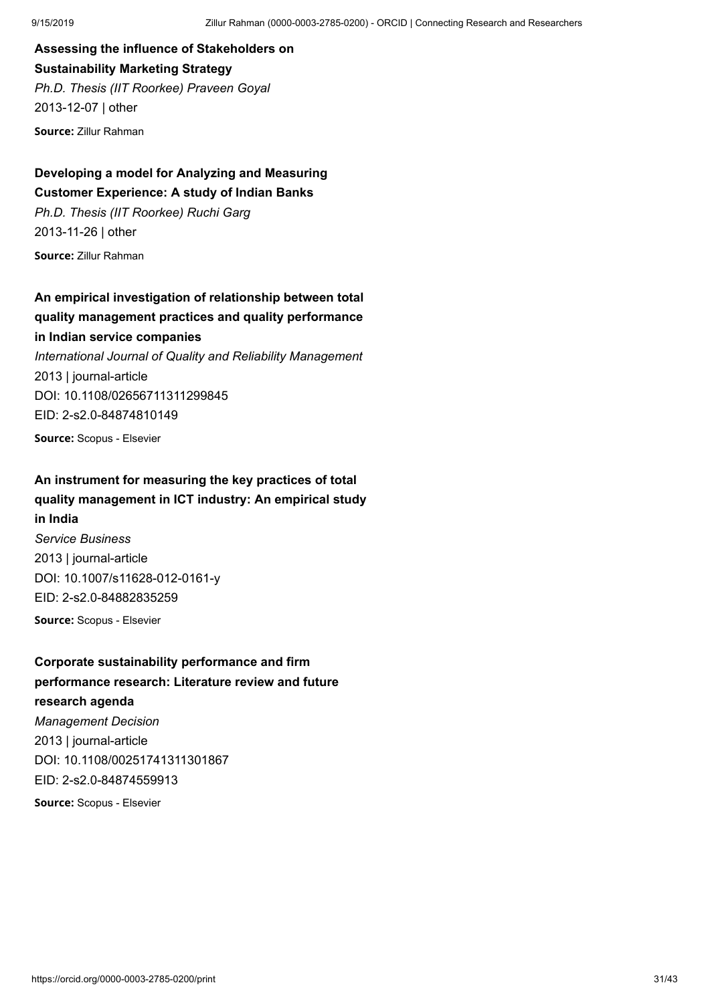**Assessing the influence of Stakeholders on Sustainability Marketing Strategy** *Ph.D. Thesis (IIT Roorkee) Praveen Goyal* 2013-12-07 | other

**Source:** Zillur Rahman

**Developing a model for Analyzing and Measuring Customer Experience: A study of Indian Banks** *Ph.D. Thesis (IIT Roorkee) Ruchi Garg* 2013-11-26 | other **Source:** Zillur Rahman

**An empirical investigation of relationship between total quality management practices and quality performance in Indian service companies** *International Journal of Quality and Reliability Management* 2013 | journal-article DOI: [10.1108/02656711311299845](https://doi.org/10.1108/02656711311299845) EID: 2-s2.0-84874810149

**Source:** Scopus - Elsevier

## **An instrument for measuring the key practices of total quality management in ICT industry: An empirical study in India** *Service Business*

2013 | journal-article DOI: [10.1007/s11628-012-0161-y](https://doi.org/10.1007/s11628-012-0161-y) EID: 2-s2.0-84882835259

**Source:** Scopus - Elsevier

**Corporate sustainability performance and firm performance research: Literature review and future research agenda** *Management Decision* 2013 | journal-article DOI: [10.1108/00251741311301867](https://doi.org/10.1108/00251741311301867) EID: 2-s2.0-84874559913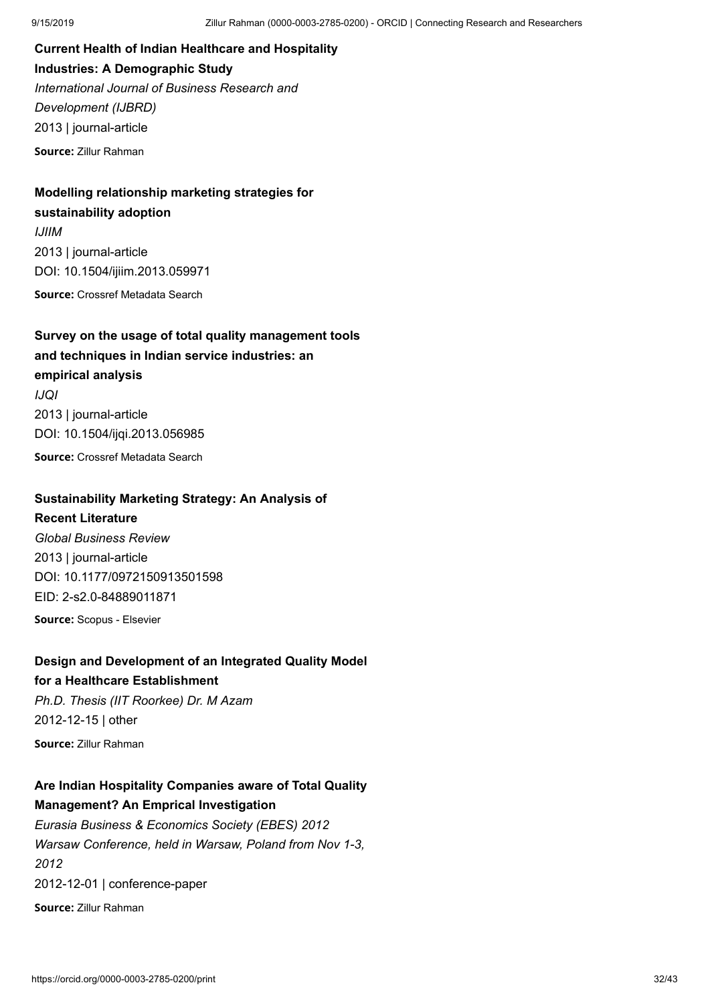**Current Health of Indian Healthcare and Hospitality Industries: A Demographic Study** *International Journal of Business Research and Development (IJBRD)* 2013 | journal-article

**Source:** Zillur Rahman

### **Modelling relationship marketing strategies for sustainability adoption**

*IJIIM* 2013 | journal-article DOI: [10.1504/ijiim.2013.059971](https://doi.org/10.1504/ijiim.2013.059971) **Source:** Crossref Metadata Search

**Survey on the usage of total quality management tools and techniques in Indian service industries: an empirical analysis** *IJQI*

2013 | journal-article DOI: [10.1504/ijqi.2013.056985](https://doi.org/10.1504/ijqi.2013.056985)

**Source:** Crossref Metadata Search

### **Sustainability Marketing Strategy: An Analysis of**

### **Recent Literature**

*Global Business Review* 2013 | journal-article DOI: [10.1177/0972150913501598](https://doi.org/10.1177/0972150913501598) EID: 2-s2.0-84889011871

**Source:** Scopus - Elsevier

### **Design and Development of an Integrated Quality Model for a Healthcare Establishment** *Ph.D. Thesis (IIT Roorkee) Dr. M Azam*

2012-12-15 | other

**Source:** Zillur Rahman

## **Are Indian Hospitality Companies aware of Total Quality Management? An Emprical Investigation**

*Eurasia Business & Economics Society (EBES) 2012 Warsaw Conference, held in Warsaw, Poland from Nov 1-3, 2012* 2012-12-01 | conference-paper **Source:** Zillur Rahman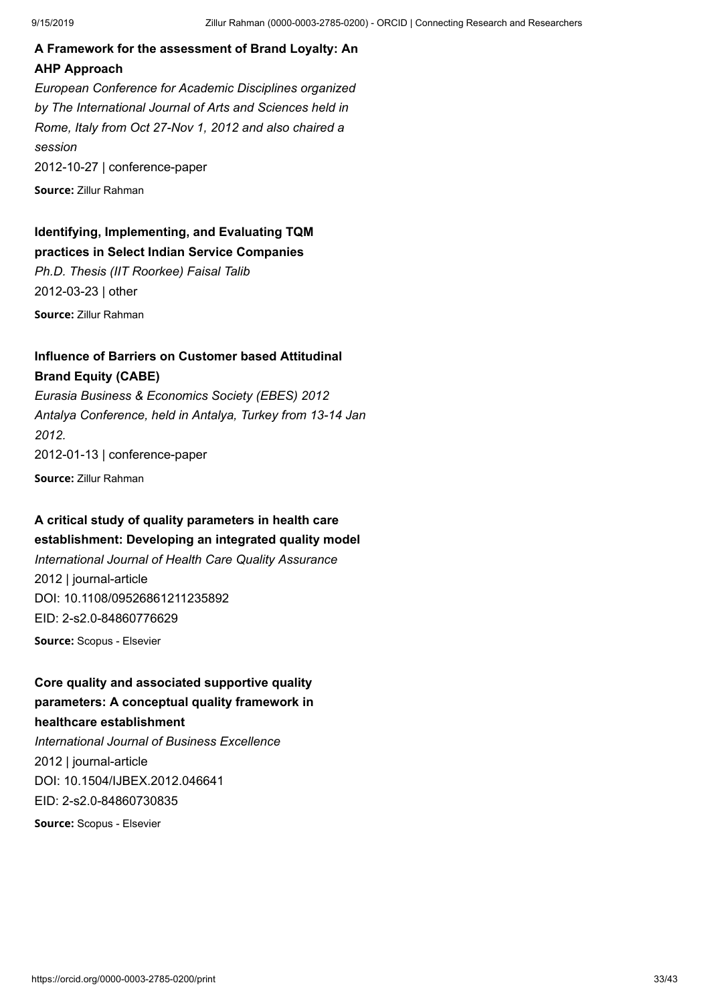## **A Framework for the assessment of Brand Loyalty: An AHP Approach**

*European Conference for Academic Disciplines organized by The International Journal of Arts and Sciences held in Rome, Italy from Oct 27-Nov 1, 2012 and also chaired a session* 2012-10-27 | conference-paper

**Source:** Zillur Rahman

### **Identifying, Implementing, and Evaluating TQM practices in Select Indian Service Companies**

*Ph.D. Thesis (IIT Roorkee) Faisal Talib* 2012-03-23 | other

**Source:** Zillur Rahman

### **Influence of Barriers on Customer based Attitudinal Brand Equity (CABE)**

*Eurasia Business & Economics Society (EBES) 2012 Antalya Conference, held in Antalya, Turkey from 13-14 Jan 2012.* 2012-01-13 | conference-paper

**Source:** Zillur Rahman

## **A critical study of quality parameters in health care**

**establishment: Developing an integrated quality model** *International Journal of Health Care Quality Assurance* 2012 | journal-article DOI: [10.1108/09526861211235892](https://doi.org/10.1108/09526861211235892) EID: 2-s2.0-84860776629

**Source:** Scopus - Elsevier

## **Core quality and associated supportive quality parameters: A conceptual quality framework in healthcare establishment** *International Journal of Business Excellence* 2012 | journal-article

DOI: [10.1504/IJBEX.2012.046641](https://doi.org/10.1504/ijbex.2012.046641) EID: 2-s2.0-84860730835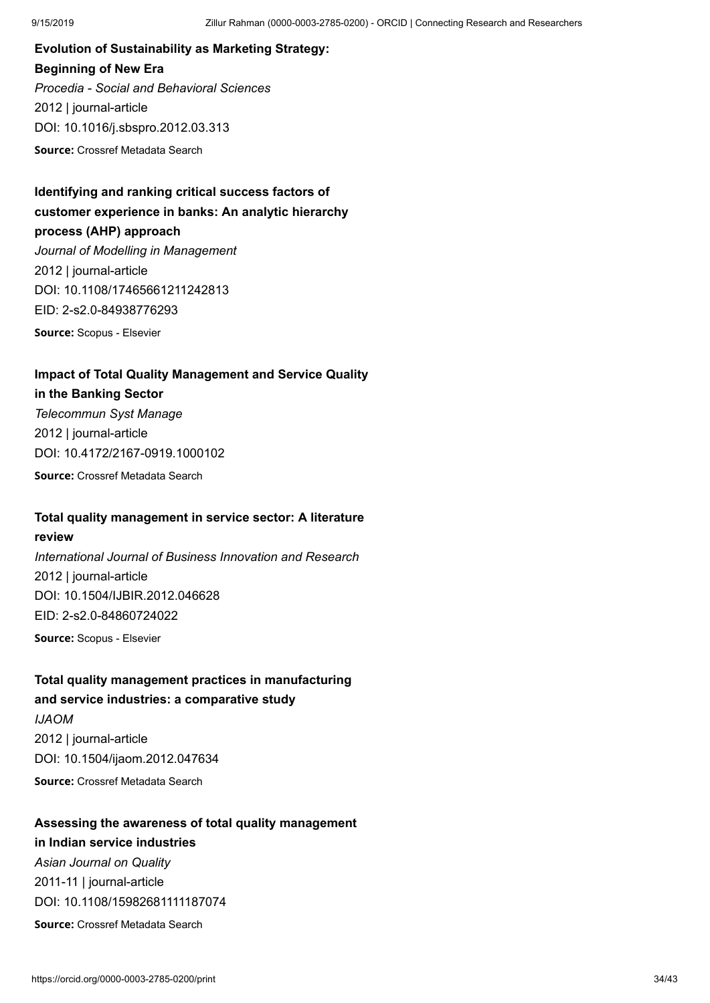**Evolution of Sustainability as Marketing Strategy: Beginning of New Era** *Procedia - Social and Behavioral Sciences* 2012 | journal-article DOI: [10.1016/j.sbspro.2012.03.313](https://doi.org/10.1016/j.sbspro.2012.03.313)

**Source:** Crossref Metadata Search

## **Identifying and ranking critical success factors of customer experience in banks: An analytic hierarchy process (AHP) approach** *Journal of Modelling in Management* 2012 | journal-article DOI: [10.1108/17465661211242813](https://doi.org/10.1108/17465661211242813) EID: 2-s2.0-84938776293

**Source:** Scopus - Elsevier

### **Impact of Total Quality Management and Service Quality**

#### **in the Banking Sector**

*Telecommun Syst Manage* 2012 | journal-article DOI: [10.4172/2167-0919.1000102](https://doi.org/10.4172/2167-0919.1000102) **Source:** Crossref Metadata Search

### **Total quality management in service sector: A literature**

#### **review**

*International Journal of Business Innovation and Research* 2012 | journal-article DOI: [10.1504/IJBIR.2012.046628](https://doi.org/10.1504/ijbir.2012.046628) EID: 2-s2.0-84860724022

**Source:** Scopus - Elsevier

### **Total quality management practices in manufacturing and service industries: a comparative study**

*IJAOM* 2012 | journal-article DOI: [10.1504/ijaom.2012.047634](https://doi.org/10.1504/ijaom.2012.047634) **Source:** Crossref Metadata Search

## **Assessing the awareness of total quality management**

### **in Indian service industries**

*Asian Journal on Quality* 2011-11 | journal-article DOI: [10.1108/15982681111187074](https://doi.org/10.1108/15982681111187074)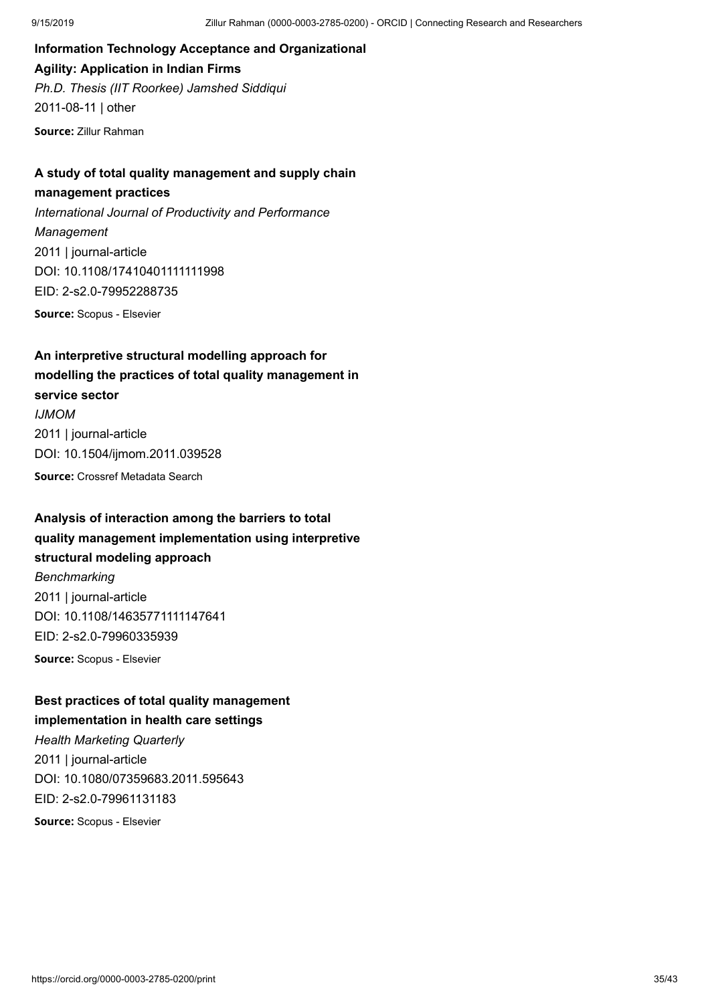**Information Technology Acceptance and Organizational Agility: Application in Indian Firms** *Ph.D. Thesis (IIT Roorkee) Jamshed Siddiqui* 2011-08-11 | other **Source:** Zillur Rahman

### **A study of total quality management and supply chain**

### **management practices**

*International Journal of Productivity and Performance Management* 2011 | journal-article DOI: [10.1108/17410401111111998](https://doi.org/10.1108/17410401111111998) EID: 2-s2.0-79952288735

**Source:** Scopus - Elsevier

## **An interpretive structural modelling approach for modelling the practices of total quality management in service sector** *IJMOM* 2011 | journal-article DOI: [10.1504/ijmom.2011.039528](https://doi.org/10.1504/ijmom.2011.039528) **Source:** Crossref Metadata Search

### **Analysis of interaction among the barriers to total quality management implementation using interpretive structural modeling approach**

*Benchmarking* 2011 | journal-article DOI: [10.1108/14635771111147641](https://doi.org/10.1108/14635771111147641) EID: 2-s2.0-79960335939

**Source:** Scopus - Elsevier

### **Best practices of total quality management implementation in health care settings**

*Health Marketing Quarterly* 2011 | journal-article DOI: [10.1080/07359683.2011.595643](https://doi.org/10.1080/07359683.2011.595643) EID: 2-s2.0-79961131183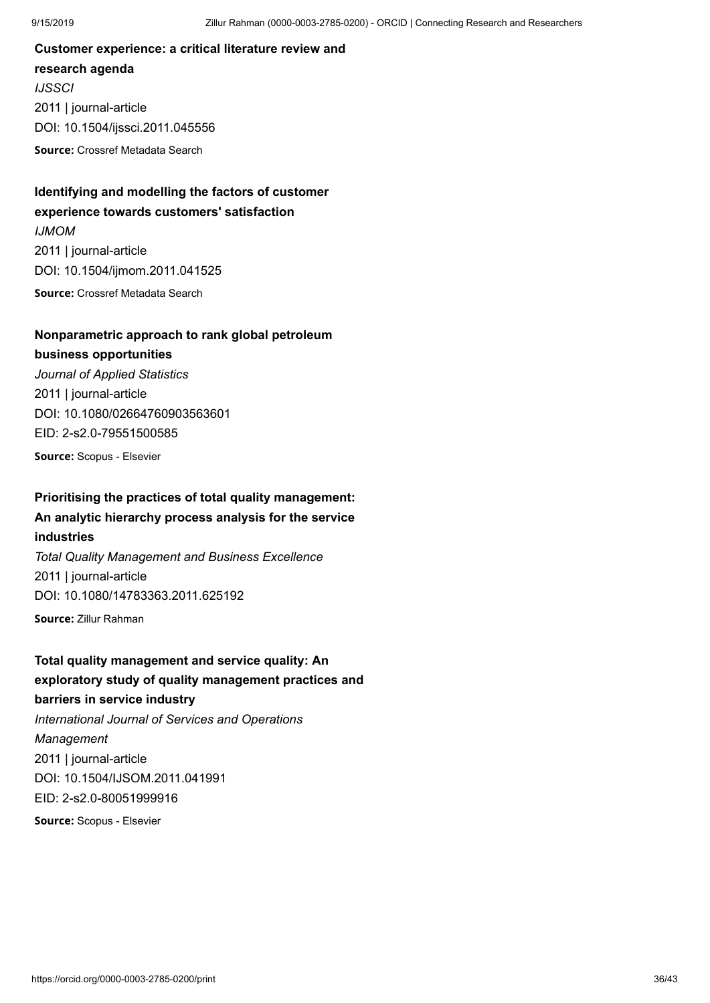**Customer experience: a critical literature review and research agenda** *IJSSCI* 2011 | journal-article DOI: [10.1504/ijssci.2011.045556](https://doi.org/10.1504/ijssci.2011.045556)

**Source:** Crossref Metadata Search

### **Identifying and modelling the factors of customer experience towards customers' satisfaction**

*IJMOM* 2011 | journal-article DOI: [10.1504/ijmom.2011.041525](https://doi.org/10.1504/ijmom.2011.041525) **Source:** Crossref Metadata Search

### **Nonparametric approach to rank global petroleum**

### **business opportunities**

*Journal of Applied Statistics* 2011 | journal-article DOI: [10.1080/02664760903563601](https://doi.org/10.1080/02664760903563601) EID: 2-s2.0-79551500585

**Source:** Scopus - Elsevier

## **Prioritising the practices of total quality management:**

**An analytic hierarchy process analysis for the service industries**

*Total Quality Management and Business Excellence* 2011 | journal-article DOI: [10.1080/14783363.2011.625192](https://doi.org/10.1080/14783363.2011.625192)

**Source:** Zillur Rahman

**Total quality management and service quality: An exploratory study of quality management practices and barriers in service industry** *International Journal of Services and Operations Management* 2011 | journal-article DOI: [10.1504/IJSOM.2011.041991](https://doi.org/10.1504/ijsom.2011.041991) EID: 2-s2.0-80051999916 **Source:** Scopus - Elsevier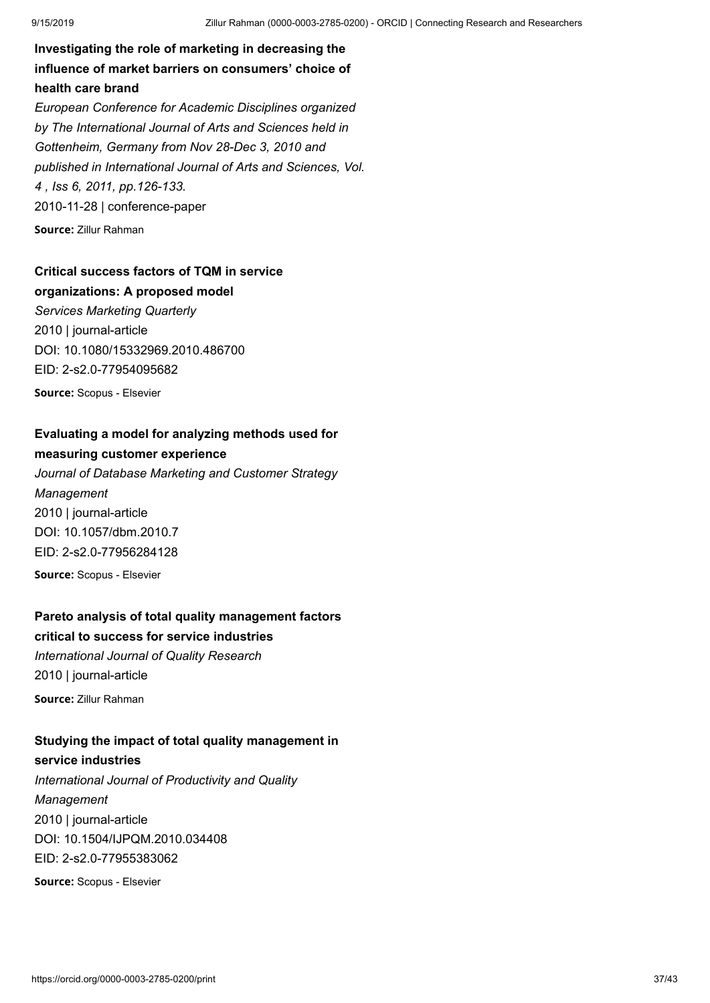**Investigating the role of marketing in decreasing the influence of market barriers on consumers' choice of health care brand** *European Conference for Academic Disciplines organized*

*by The International Journal of Arts and Sciences held in Gottenheim, Germany from Nov 28-Dec 3, 2010 and published in International Journal of Arts and Sciences, Vol. 4 , Iss 6, 2011, pp.126-133.* 2010-11-28 | conference-paper

**Source:** Zillur Rahman

## **Critical success factors of TQM in service**

**organizations: A proposed model** *Services Marketing Quarterly* 2010 | journal-article DOI: [10.1080/15332969.2010.486700](https://doi.org/10.1080/15332969.2010.486700) EID: 2-s2.0-77954095682

**Source:** Scopus - Elsevier

### **Evaluating a model for analyzing methods used for measuring customer experience**

*Journal of Database Marketing and Customer Strategy Management* 2010 | journal-article DOI: [10.1057/dbm.2010.7](https://doi.org/10.1057/dbm.2010.7) EID: 2-s2.0-77956284128 **Source:** Scopus - Elsevier

### **Pareto analysis of total quality management factors critical to success for service industries**

*International Journal of Quality Research* 2010 | journal-article **Source:** Zillur Rahman

### **Studying the impact of total quality management in service industries**

*International Journal of Productivity and Quality Management* 2010 | journal-article DOI: [10.1504/IJPQM.2010.034408](https://doi.org/10.1504/ijpqm.2010.034408) EID: 2-s2.0-77955383062 **Source:** Scopus - Elsevier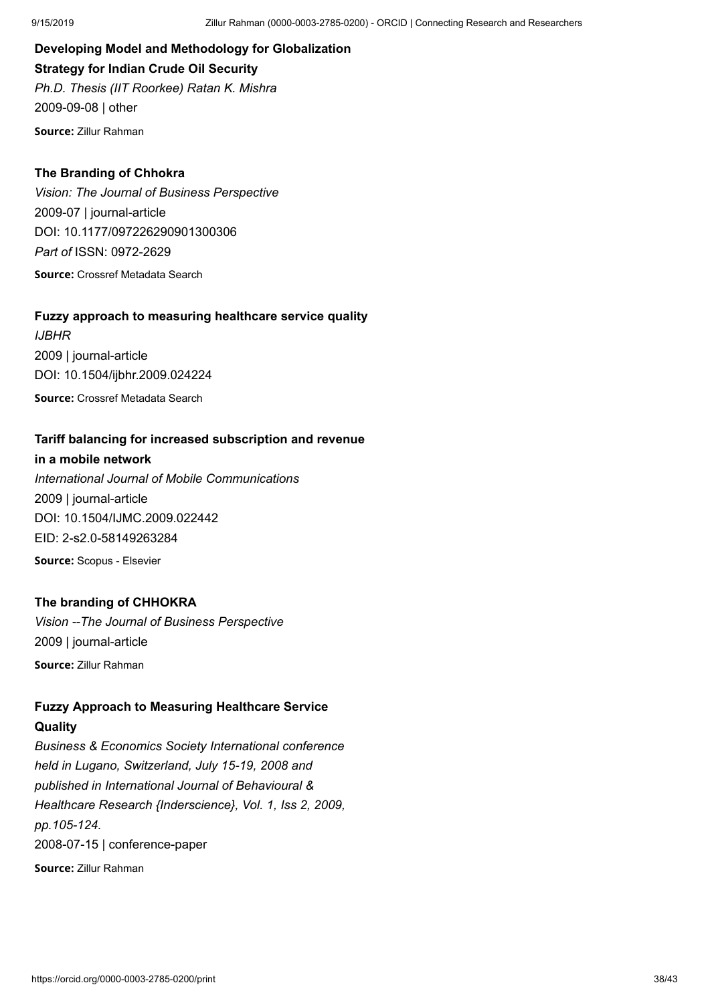**Developing Model and Methodology for Globalization Strategy for Indian Crude Oil Security** *Ph.D. Thesis (IIT Roorkee) Ratan K. Mishra* 2009-09-08 | other

**Source:** Zillur Rahman

### **The Branding of Chhokra**

*Vision: The Journal of Business Perspective* 2009-07 | journal-article DOI: [10.1177/097226290901300306](https://doi.org/10.1177/097226290901300306) *Part of* ISSN: [0972-2629](https://portal.issn.org/resource/ISSN/0972-2629) **Source:** Crossref Metadata Search

### **Fuzzy approach to measuring healthcare service quality**

*IJBHR* 2009 | journal-article DOI: [10.1504/ijbhr.2009.024224](https://doi.org/10.1504/ijbhr.2009.024224) **Source:** Crossref Metadata Search

### **Tariff balancing for increased subscription and revenue**

**in a mobile network** *International Journal of Mobile Communications* 2009 | journal-article DOI: [10.1504/IJMC.2009.022442](https://doi.org/10.1504/ijmc.2009.022442) EID: 2-s2.0-58149263284 **Source:** Scopus - Elsevier

### **The branding of CHHOKRA**

*Vision --The Journal of Business Perspective* 2009 | journal-article **Source:** Zillur Rahman

### **Fuzzy Approach to Measuring Healthcare Service Quality**

*Business & Economics Society International conference held in Lugano, Switzerland, July 15-19, 2008 and published in International Journal of Behavioural & Healthcare Research {Inderscience}, Vol. 1, Iss 2, 2009, pp.105-124.* 2008-07-15 | conference-paper **Source:** Zillur Rahman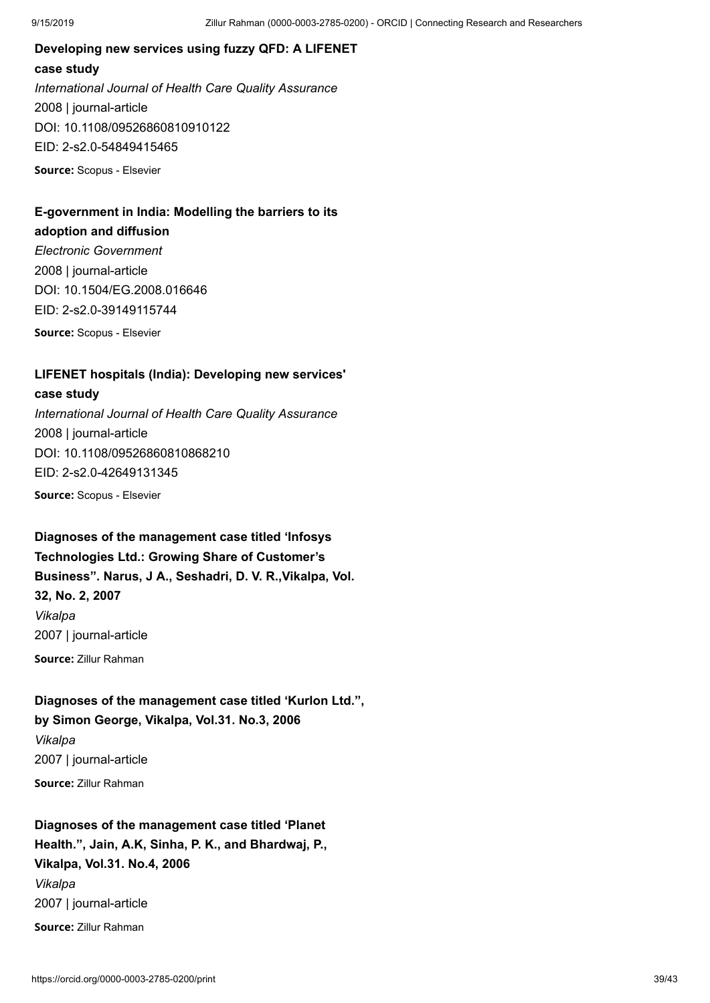## **Developing new services using fuzzy QFD: A LIFENET case study** *International Journal of Health Care Quality Assurance* 2008 | journal-article DOI: [10.1108/09526860810910122](https://doi.org/10.1108/09526860810910122) EID: 2-s2.0-54849415465

**Source:** Scopus - Elsevier

## **E-government in India: Modelling the barriers to its**

**adoption and diffusion**

*Electronic Government* 2008 | journal-article DOI: [10.1504/EG.2008.016646](https://doi.org/10.1504/eg.2008.016646) EID: 2-s2.0-39149115744 **Source:** Scopus - Elsevier

**LIFENET hospitals (India): Developing new services'**

### **case study**

*International Journal of Health Care Quality Assurance* 2008 | journal-article DOI: [10.1108/09526860810868210](https://doi.org/10.1108/09526860810868210) EID: 2-s2.0-42649131345 **Source:** Scopus - Elsevier

**Diagnoses of the management case titled 'Infosys Technologies Ltd.: Growing Share of Customer's Business". Narus, J A., Seshadri, D. V. R.,Vikalpa, Vol. 32, No. 2, 2007** *Vikalpa* 2007 | journal-article **Source:** Zillur Rahman

### **Diagnoses of the management case titled 'Kurlon Ltd.", by Simon George, Vikalpa, Vol.31. No.3, 2006**

*Vikalpa* 2007 | journal-article **Source:** Zillur Rahman

## **Diagnoses of the management case titled 'Planet Health.", Jain, A.K, Sinha, P. K., and Bhardwaj, P., Vikalpa, Vol.31. No.4, 2006** *Vikalpa* 2007 | journal-article **Source:** Zillur Rahman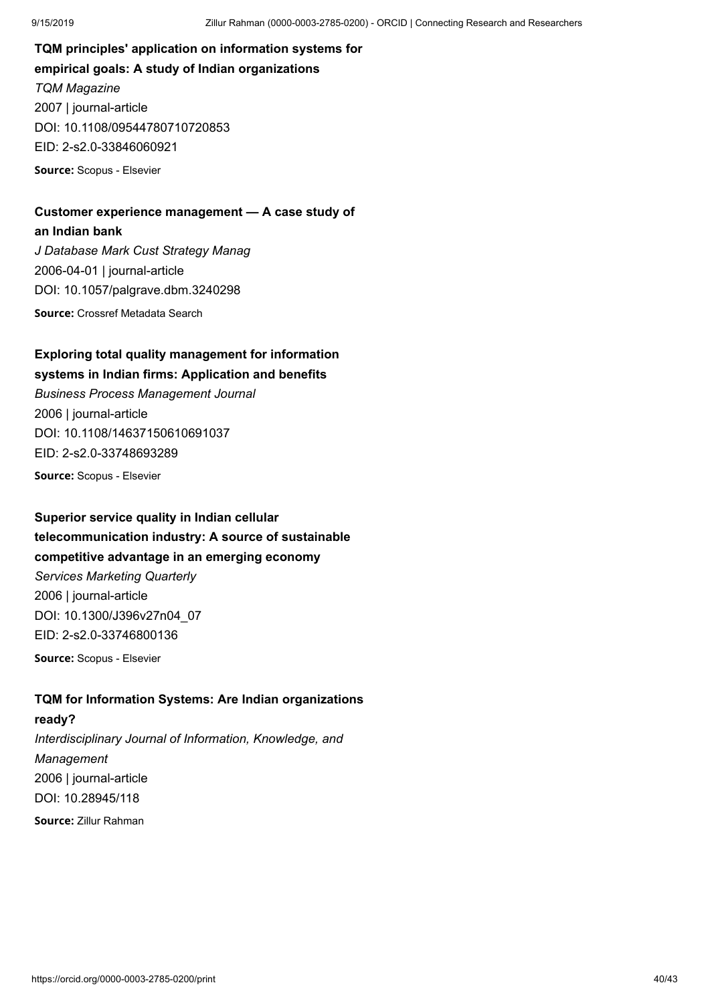**TQM principles' application on information systems for empirical goals: A study of Indian organizations** *TQM Magazine* 2007 | journal-article DOI: [10.1108/09544780710720853](https://doi.org/10.1108/09544780710720853) EID: 2-s2.0-33846060921 **Source:** Scopus - Elsevier

### **Customer experience management — A case study of an Indian bank**

*J Database Mark Cust Strategy Manag* 2006-04-01 | journal-article DOI: [10.1057/palgrave.dbm.3240298](https://doi.org/10.1057/palgrave.dbm.3240298) **Source:** Crossref Metadata Search

## **Exploring total quality management for information**

## **systems in Indian firms: Application and benefits**

*Business Process Management Journal* 2006 | journal-article DOI: [10.1108/14637150610691037](https://doi.org/10.1108/14637150610691037) EID: 2-s2.0-33748693289

**Source:** Scopus - Elsevier

## **Superior service quality in Indian cellular telecommunication industry: A source of sustainable competitive advantage in an emerging economy** *Services Marketing Quarterly* 2006 | journal-article DOI: [10.1300/J396v27n04\\_07](https://doi.org/10.1300/j396v27n04_07) EID: 2-s2.0-33746800136 **Source:** Scopus - Elsevier

### **TQM for Information Systems: Are Indian organizations**

## **ready?** *Interdisciplinary Journal of Information, Knowledge, and Management* 2006 | journal-article DOI: [10.28945/118](https://doi.org/10.28945/118)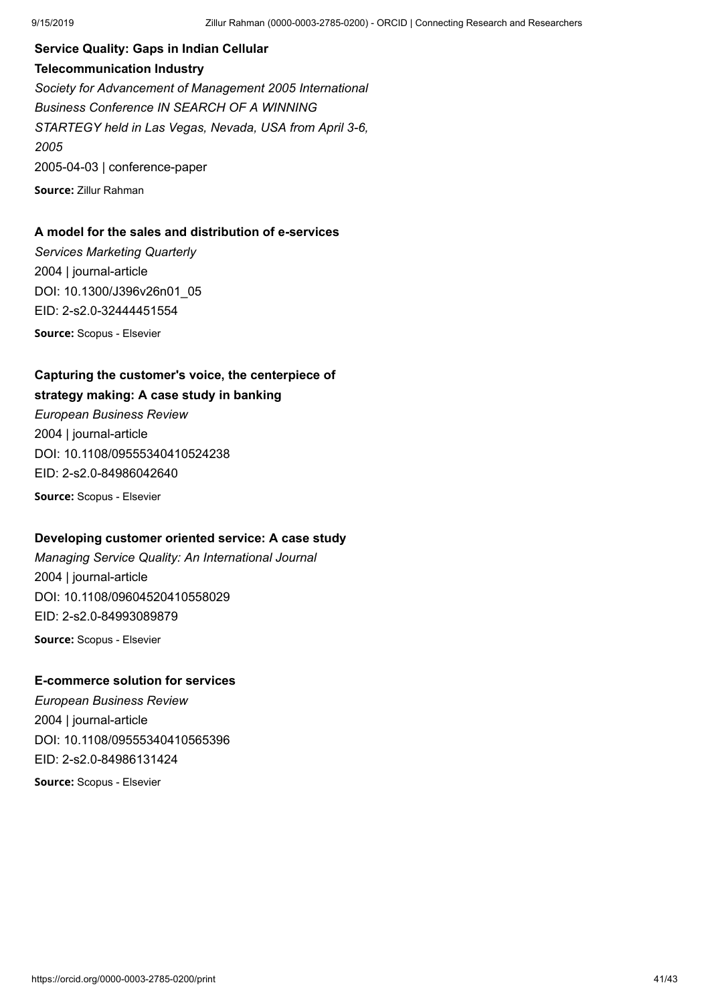**Service Quality: Gaps in Indian Cellular Telecommunication Industry** *Society for Advancement of Management 2005 International Business Conference IN SEARCH OF A WINNING STARTEGY held in Las Vegas, Nevada, USA from April 3-6, 2005* 2005-04-03 | conference-paper **Source:** Zillur Rahman

### **A model for the sales and distribution of e-services**

*Services Marketing Quarterly* 2004 | journal-article DOI: [10.1300/J396v26n01\\_05](https://doi.org/10.1300/j396v26n01_05) EID: 2-s2.0-32444451554

**Source:** Scopus - Elsevier

## **Capturing the customer's voice, the centerpiece of**

### **strategy making: A case study in banking**

*European Business Review* 2004 | journal-article DOI: [10.1108/09555340410524238](https://doi.org/10.1108/09555340410524238) EID: 2-s2.0-84986042640 **Source:** Scopus - Elsevier

### **Developing customer oriented service: A case study**

*Managing Service Quality: An International Journal* 2004 | journal-article DOI: [10.1108/09604520410558029](https://doi.org/10.1108/09604520410558029) EID: 2-s2.0-84993089879 **Source:** Scopus - Elsevier

### **E-commerce solution for services**

*European Business Review* 2004 | journal-article DOI: [10.1108/09555340410565396](https://doi.org/10.1108/09555340410565396) EID: 2-s2.0-84986131424 **Source:** Scopus - Elsevier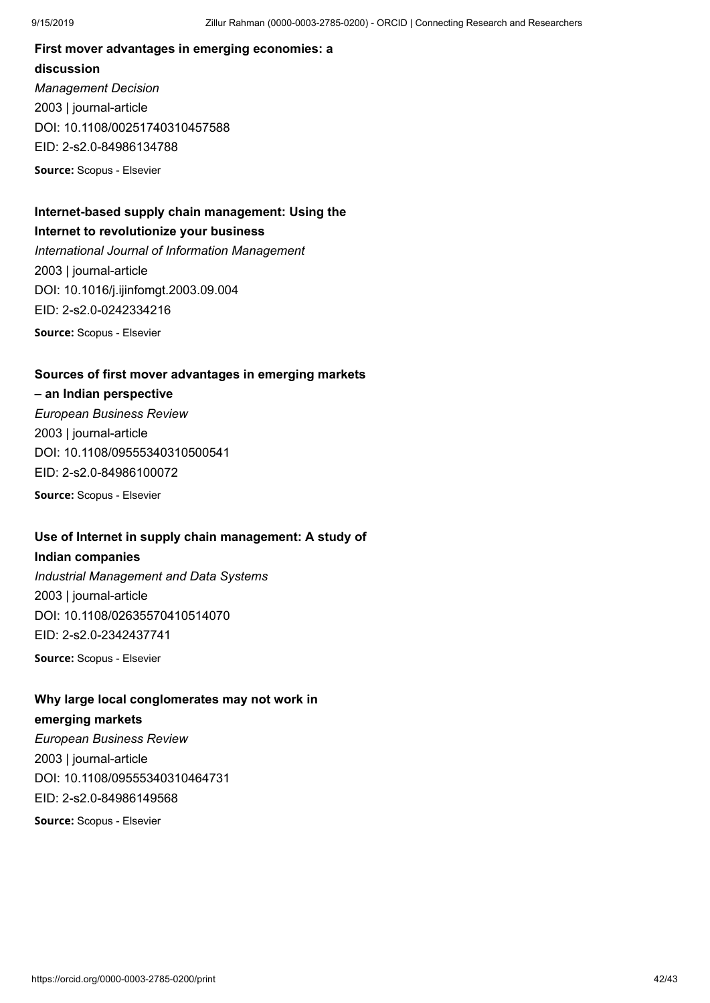## **First mover advantages in emerging economies: a discussion** *Management Decision*

2003 | journal-article DOI: [10.1108/00251740310457588](https://doi.org/10.1108/00251740310457588) EID: 2-s2.0-84986134788 **Source:** Scopus - Elsevier

### **Internet-based supply chain management: Using the Internet to revolutionize your business**

*International Journal of Information Management* 2003 | journal-article DOI: [10.1016/j.ijinfomgt.2003.09.004](https://doi.org/10.1016/j.ijinfomgt.2003.09.004) EID: 2-s2.0-0242334216 **Source:** Scopus - Elsevier

### **Sources of first mover advantages in emerging markets**

## **– an Indian perspective**

*European Business Review* 2003 | journal-article DOI: [10.1108/09555340310500541](https://doi.org/10.1108/09555340310500541) EID: 2-s2.0-84986100072 **Source:** Scopus - Elsevier

### **Use of Internet in supply chain management: A study of**

### **Indian companies**

*Industrial Management and Data Systems* 2003 | journal-article DOI: [10.1108/02635570410514070](https://doi.org/10.1108/02635570410514070) EID: 2-s2.0-2342437741 **Source:** Scopus - Elsevier

## **Why large local conglomerates may not work in**

### **emerging markets**

*European Business Review* 2003 | journal-article DOI: [10.1108/09555340310464731](https://doi.org/10.1108/09555340310464731) EID: 2-s2.0-84986149568